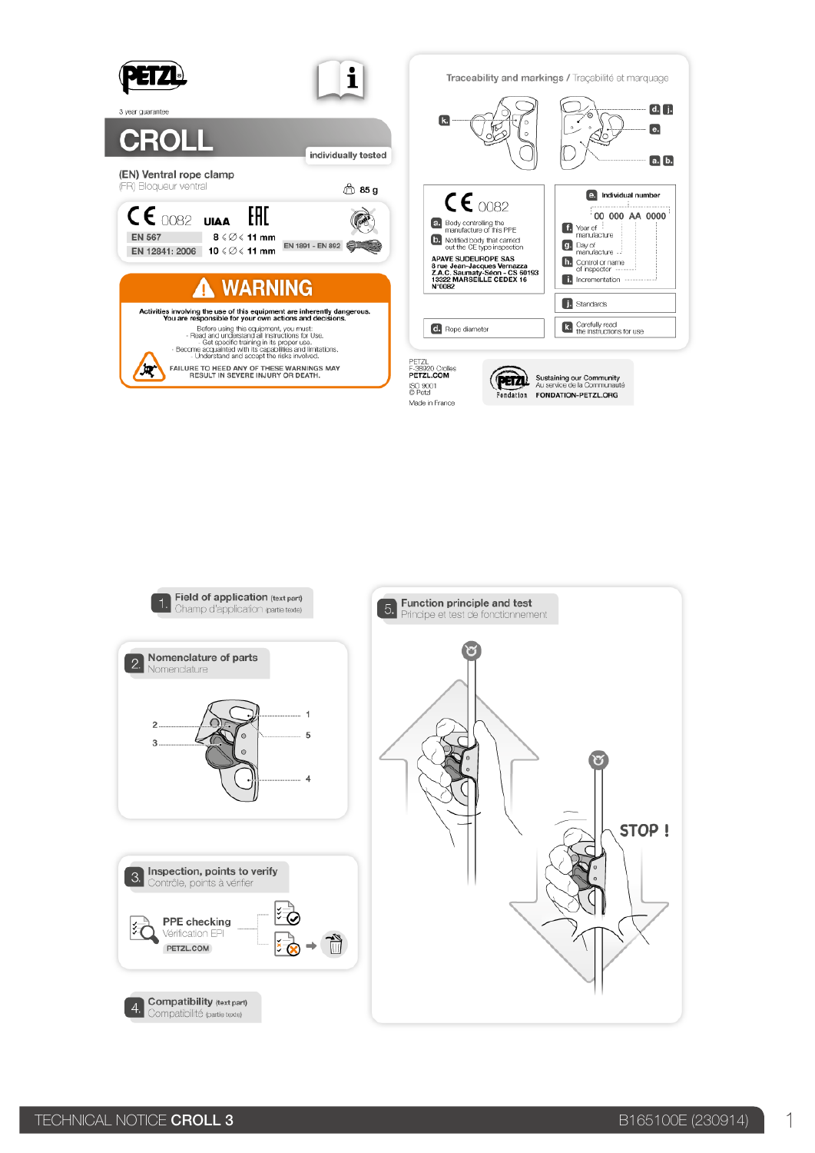

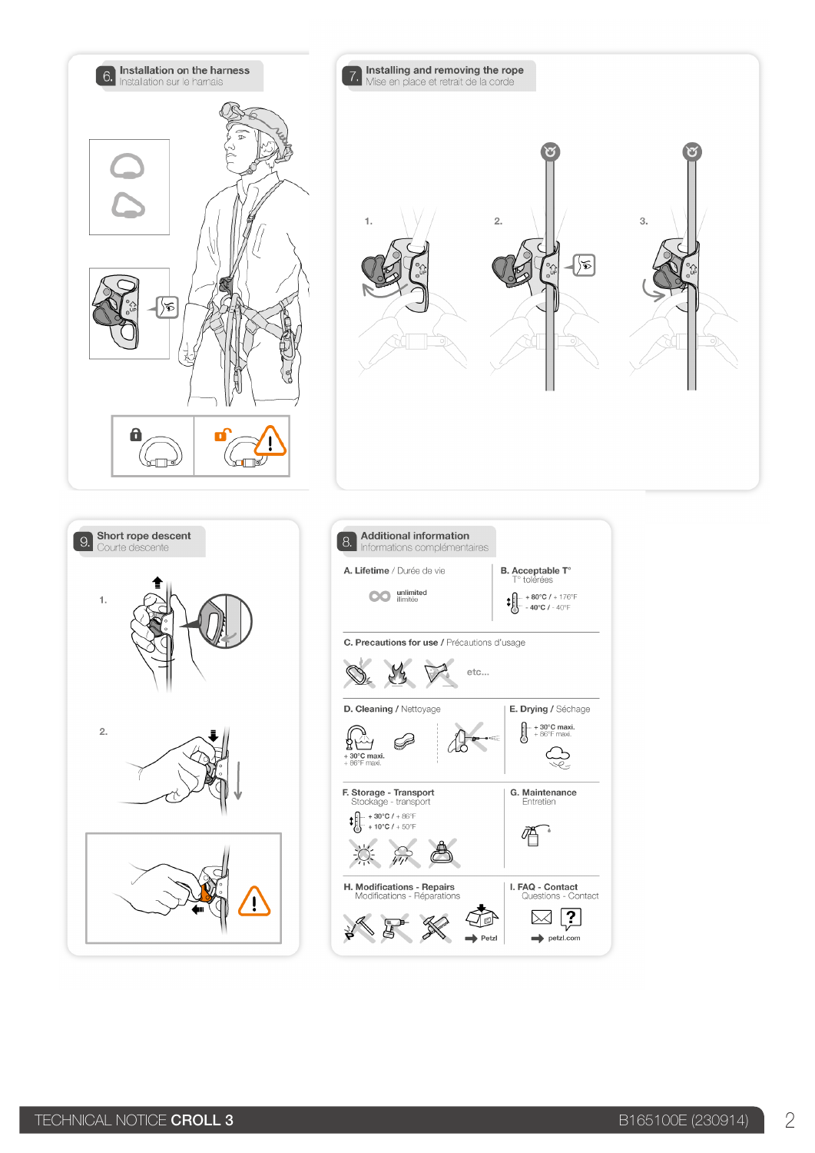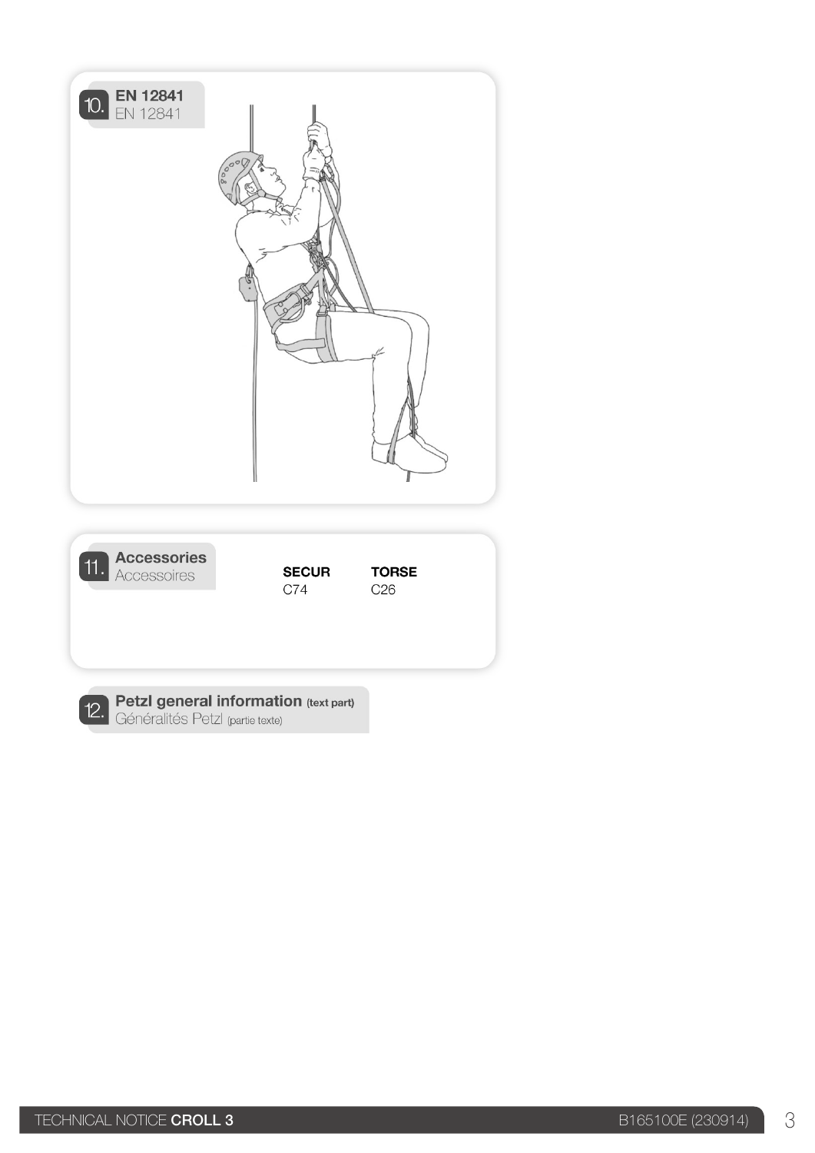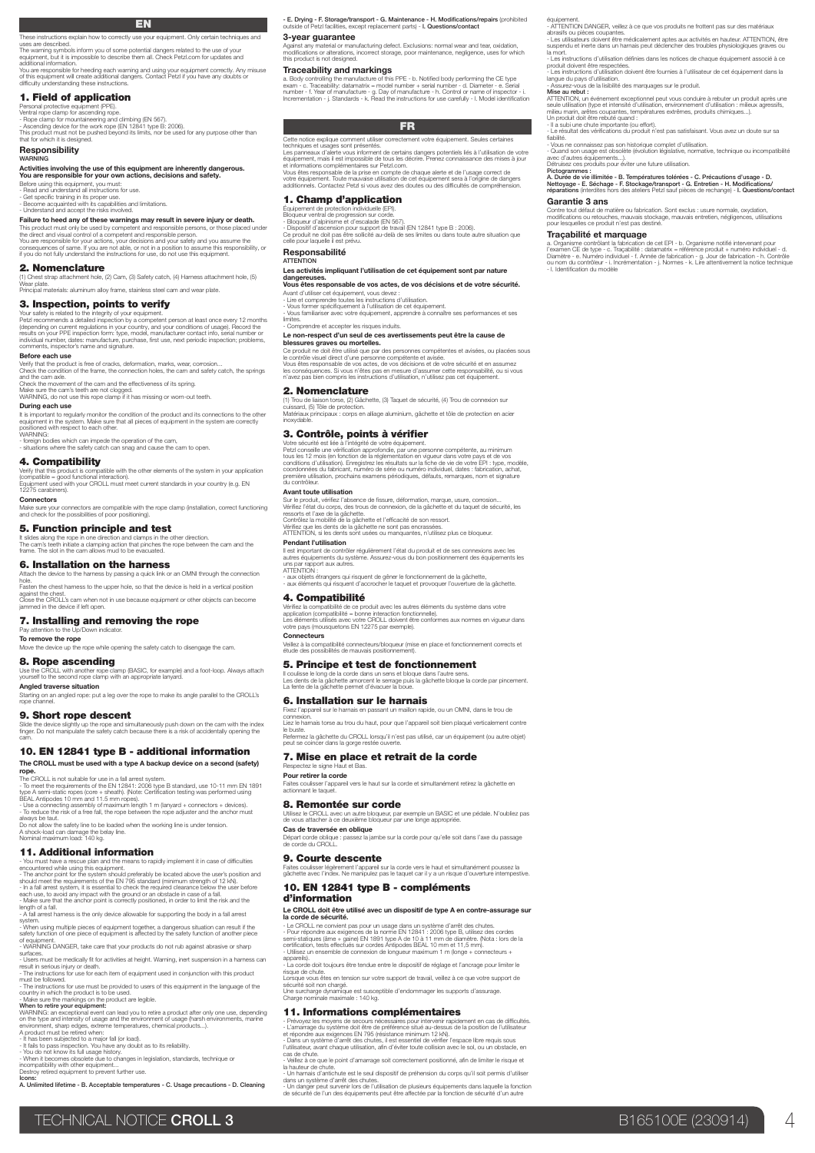### EN

These instructions explain how to correctly use your equipment. Only certain techniques and<br>uses are described.<br>The warning symbols inform you of some potential dangers related to the use of your<br>equipment, but it is impos

You are responsible for heeding each warning and using your equipment correctly. Any misuse<br>of this equipment will create additional dangers. Contact Petzl if you have any doubts or<br>difficulty understanding these instructi

### 1. Field of application

Personal protective equipment (PPE). Ventral rope clamp for ascending rope.

- Rope clamp for mountaineering and climbing (EN 567).<br>- Ascending device for the work rope (EN 12841 type B: 2006).<br>This product must not be pushed beyond its limits, nor be used for any purpose other than<br>that for which

### Responsibility

# WARNING<br>Activities involving the use of this equipment are inherently dangerous.<br>You are responsible for your rown actions, decisions and safety.<br>Before using this equipment, you must:<br>- Read and understand all ristuctions

### Failure to heed any of these warnings may result in severe injury or death.

This product must only be used by competent and responsible persons, or those placed under<br>the drect and visual control of a competent and responsible person.<br>You are responsible for your actions, your decisions and your s

2. Nomenclature<br>(1) Chest strap attachment hole, (2) Cam, (3) Safety catch, (4) Harness attachment hole, (5) Wear plate. Principal materials: aluminum alloy frame, stainless steel cam and wear plate.

### 3. Inspection, points to verify

Your safety is related to the integrity of your equipment.<br>Petzl recommends a detailed inspection by a competent person at least once every 12 months<br>(depending on current regulations in your country, and your conditions o

### comments, inspector's name and signature. Before each use

Verify that the product is free of cracks, deformation, marks, wear, corrosion... Check the condition of the frame, the connection holes, the cam and safety catch, the springs

and the cam axle. Check the movement of the cam and the effectiveness of its spring. Make sure the cam's teeth are not clogged. WARNING, do not use this rope clamp if it has missing or worn-out teeth.

**During each use**<br>It is important to regularly monitor the condition of the product and its connections to the other<br>equipment in the system. Make sure that all pieces of equipment in the system are correctly<br>positioned wi

- foreign bodies which can impede the operation of the cam, - situations where the safety catch can snag and cause the cam to open.

### 4. Compatibility

Verify that this product is compatible with the other elements of the system in your application<br>(compatible = good functional interaction).<br>Equipment used with your CROLL must meet current standards in your country (e.g.

**Connectors** 

### Make sure your connectors are compatible with the rope clamp (installation, correct functioning and check for the possibilities of poor positioning).

5. Function principle and test

It slides along the rope in one direction and clamps in the other direction.<br>The cam's teeth initiate a clamping action that pinches the rope between the cam and the<br>frame. The slot in the cam allows mud to be evacuated.

### 6. Installation on the harness

Attach the device to the harness by passing a quick link or an OMNI through the connection hole. Fasten the chest harness to the upper hole, so that the device is held in a vertical position against the chest.

Close the CROLL's cam when not in use because equipment or other objects can become jammed in the device if left open.

### 7. Installing and removing the rope

Pay attention to the Up/Down indicator.

To remove the rope Move the device up the rope while opening the safety catch to disengage the cam.

### 8. Rope ascending

Use the CROLL with another rope clamp (BASIC, for example) and a foot-loop. Always attach yourself to the second rope clamp with an appropriate lanyard. Angled traverse situation

Starting on an angled rope: put a leg over the rope to make its angle parallel to the CROLL's rope channel.

**9. Short rope descent**<br>Slide the device slightly up the rope and simultaneously push down on the cam with the index<br>finger. Do not manipulate the safety catch because there is a risk of accidentally opening the<br>cam.

## 10. EN 12841 type B - additional information

The CROLL must be used with a type A backup device on a second (safety) rope.

The CROLL is not suitable for use in a fall arrest system.<br>• To meet the requirements of the EN 12841: 2006 type B standard, use 10-11 mm EN 1891<br>type A semi-static ropes (core + sheath). (Note: Certification testing was p

always be taut. Do not allow the safety line to be loaded when the working line is under tension. A shock-load can damage the belay line. Nominal maximum load: 140 kg.

**11. Additional information**<br>
and representing the computer of the means to replate the commutation<br>  $\sim$  commuted with the case are computed in the means to replate the user's position and<br>  $\sim$  contributions the requirem

system.<br>- When using multiple pieces of equipment together, a dangerous situation can result if the<br>safety function of one piece of equipment is affected by the safety function of another piece

of equipment. - WARNING DANGER, take care that your products do not rub against abrasive or sharp

surfaces. - Users must be medically fit for activities at height. Warning, inert suspension in a harness can result in serious injury or death. - The instructions for use for each item of equipment used in conjunction with this product

must be followed.<br>- The instructions for use must be provided to users of this equipment in the language of the<br>country in which the product is to be used.<br>- Make sure the markings on the product are legible.<br>WARNING: an e

on the type and intensity of usage and the environment of usage (harsh environments, marine<br>environment, sharp edges, extreme temperatures, chemical products...).<br>- It has been subjected to a major rall (or load).<br>- It has

incompatibility with other equipment... Destroy retired equipment to prevent further use.

Icons: A. Unlimited lifetime - B. Acceptable temperatures - C. Usage precautions - D. Cleaning

- E. Drying - F. Storage/transport - G. Maintenance - H. Modifications/repairs (prohibited outside of Petzl facilities, except replacement parts) - l. Questions/contact

équipement. - ATTENTION DANGER, veillez à ce que vos produits ne frottent pas sur des matériaux abrasifs ou pièces coupantes. - Les utilisateurs doivent être médicalement aptes aux activités en hauteur. ATTENTION, être suspendu et inerte dans un harnais peut déclencher des troubles physiologiques graves ou

la mort.<br>• Les instructions d'utilisation définies dans les notices de chaque équipement associé à ce<br>• produit doivent être respectées.<br>• Les instructions d'utilisation doivent être fournies à l'utilisateur de cet équipem Mise au rebut : ATTENTION, un événement exceptionnel peut vous conduire à rebuter un produit après une seule utilisation (type et intensité d'utilisation, environnement d'utilisation : milieux agressifs,<br>milieu marin, arêtes coupantes, températures extrêmes, produits chimiques...).<br>Un produit doit être rebuté quand : - Il a subi une chute importante (ou effort). - Le résultat des vérifications du produit n'est pas satisfaisant. Vous avez un doute sur sa fiabliité.<br>- Vous ne connaissez pas son historique complet d'utilisation.<br>- Quand son usage est obsolète (évolution législative, normative, technique ou incompatibilité<br>avec d'autres équipements...).<br>Détruisez ces produits

Pictogrammes :<br>A. Durée de vie illimitée - B. Températures tolérées - C. Précautions d'usage - D.<br>Nettoyage - E. Séchage - F. Stockage/transport - G. Entretien - H. Modifications/<br>réparations (interdites hors des ateliers

Contre tout défaut de matière ou fabrication. Sont exclus : usure normale, oxydation, modifications ou retouches, mauvais stockage, mauvais entretien, négligences, utilisations pour lesquelles ce produit n'est pas destiné.

a. Organisme contròlant la fabrication de cet EPI - b. Organisme notifié intervenant pour<br>l'examen CE de type - c. Traçabilité : datamatrix = référence produit + numéro individuel - d.<br>Diamètre - e. Numéro individuel - f.

Garantie 3 ans

- l. Identification du mo

Traçabilité et marquage

3-year guarantee<br>Against any material or manufacturing defect. Exclusions: normal wear and tear, oxidation,<br>modifications or allerations, incorrect storage, poor maintenance, negligence, uses for which<br>this product is not

### Traceability and markings

a. Body controlling the manufacture of this PPE - b. Notified body performing the CE type<br>exam - c. Traceability: datamatrix = model number + serial number - d. Diameter - e. Serial<br>number - f. Year of manufacture - g. Day

### **FR**

### Cette notice explique comment utiliser correctement votre équipement. Seules certaines techniques et usages sont présentés. Les panneaux d'alerte vous informent de certains dangers potentiels liés à l'utilisation de votre équipement, mais il est impossible de tous les décrire. Prenez connaissance des mises à jour

et informations complémentaires sur Petzl.com.<br>Vous êtes responsable de la prise en compte de chaque alerte et de l'usage correct de<br>votre équipement. Toute mauvaise utilisation de cet équipement sera à l'origine de danger

voire equiperment. Toute misuvelles conservent de cet equiperment cette à l'engence de compréhension des difficultés de compréhen

1. Champ d'application

Equipement de protection individuelle (EP).<br>- Bloqueur ventral de progression sur corde.<br>- Bloqueur vantral de progression sur corde.<br>- Dispositif d'ascension pour support de travail (EN 12841 type B : 2006).<br>- Dispositif

### Responsabilité<br>ATTENTION

### Les activités impliquant l'utilisation de cet équipement sont par nature

dangereuses. Vous êtes responsable de vos actes, de vos décisions et de votre sécurité.

Avant d'utiliser cet équipement, vous devez :<br>- Lire et comprendre toutes les instructions d'utilisation.<br>- Vous former spécifiquement à l'utilisation de cet équipement.<br>- Vous farmiliariser avec votre équipement, apprendr

# - Comprendre et accepter les risques induits. Le non-respect d'un seul de ces avertissements peut être la cause de blessures graves ou mortelles.

Ce produit ne doit être utilisé que par des personnes compétentes et avisées, ou placées sous le contrôle visuel direct d'une personne compétente et avisée.<br>Vous êtes responsable de vos actes, de vos décisions et de votre sécurité et en assumez<br>les conséquences. Si vous n'êtes pas en mesure d'assumer cette responsa

2. Nomenclature<br>(1) Trou de liaison torse, (2) Gâchette, (3) Taquet de sécurité, (4) Trou de connexion sur (1) Trou de liaison torse, (2) Gâchette, (3) Taquet de sécurité, (4) Trou de connexion sur cuissard, (5) Tôle de protection. Matériaux principaux : corps en alliage aluminium, gâchette et tôle de protection en acier inoxydable.

### 3. Contrôle, points à vérifier

# Votre sécurité est liée à l'intégrité de votre équipement.<br>Petzl conseille une vérification approfondie, par une personne compétente, au minimum<br>tous les 12 mois (en fonction de la réglementation en vigueur dans votre pays

Avant toute utilisation

Sur le produit, vérifiez l'absence de fissure, déformation, marque, usure, corrosion... Vérifiez l'état du corps, des trous de connexion, de la gâchette et du taquet de sécurité, les ressorts et l'axe de la gâchette.

Contrôlez la mobilité de la gâchette et l'efficacité de son ressort.<br>Vérifiez que les dents de la gâchette ne sont pas encrassées.<br>ATTENTION, si les dents sont usées ou manquantes, n'utilisez plus ce bloqueur

Pendant l'utilisation

Il est important de contrôler régulièrement l'état du produit et de ses connexions avec les autres équipements du système. Assurez-vous du bon positionnement des équipements les uns par rapport aux autres. ATTENTION :

- aux objets étrangers qui risquent de gêner le fonctionnement de la gâchette, - aux éléments qui risquent d'accrocher le taquet et provoquer l'ouverture de la gâchette.

### 4. Compatibilité

Respectez le signe Haut et Bas. Pour retirer la corde

8. Remontée sur corde

9. Courte descente

d'information

Vérifiez la compatibilité de ce produit avec les autres éléments du système dans votre<br>application (compatibilité = bonne interaction fonctionnelle).<br>Les éléments utilisés avec votre CROLL doivent être conformes aux normes

Il coulisse le long de la corde dans un sens et bloque dans l'autre sens.<br>Les dents de la gâchette amorcent le serrage puis la gâchette bloque la corde par pincement.<br>La fente de la gâchette permet d'évacuer la boue.

connexion. Liez le harnais torse au trou du haut, pour que l'appareil soit bien plaqué verticalement contre le buste. Refermez la gâchette du CROLL lorsqu'il n'est pas utilisé, car un équipement (ou autre objet) peut se coincer dans la gorge restée ouverte.

Faites coulisser l'appareil vers le haut sur la corde et simultanément retirez la gâchette en actionnant le taquet.

Utilisez le CROLL avec un autre bloqueur, par exemple un BASIC et une pédale. N'oubliez pas de vous attacher à ce deuxième bloqueur par une longe appropriée. **Cas de traversée en oblique**<br>Départ corde oblique : passez la jambe sur la corde pour qu'elle soit dans l'axe du passage<br>de corde du CROLL.

Faites coulisser légèrement l'appareil sur la corde vers le haut et simultanément poussez la gâchette avec l'index. Ne manipulez pas le taquet car il y a un risque d'ouverture intempestive.

**Le CROLL doit être utilisé avec un dispositif de type A en contre-assurage sur<br><b>la corde de sécurité.**<br>- Le CROLL ne convient pas pour un usage dans un système d'arrêt des chutes.<br>- Pour répondre aux exigences de la norme semi-statiques (âme + gaine) EN 1891 type A de 10 à 11 mm de diamètre. (Nota : lors de la<br>certification, tests effectués sur cordes Antipodes BEAL 10 mm et 11,5 mm).<br>- Utilisez un ensemble de connexion de longueur maximum appareils). - La corde doit toujours être tendue entre le dispositif de réglage et l'ancrage pour limiter le risque de chute. Lorsque vous êtes en tension sur votre support de travail, veillez à ce que votre support de sécurité soit non chargé. Une surcharge dynamique est susceptible d'endommager les supports d'assurage. Charge nominale maximale : 140 kg.

- Prévoyez les moyens de secours nécessaires pour intervenir rapidement en cas de difficultés<br>- L'amarrage du système doit être de préférence situé au-dessus de la position de l'utilisateur<br>- Dans un système d'arrêt des ch cas de chute.<br>- Veillez à ce que le point d'amarrage soit correctement positionné, afin de limiter le risque et - Velliez à ce que le point d'amarrage soit correctement positionné, afin de limiter le risque et<br>- Un hamais d'antichute est le seul dispositif de préhension du corps qu'il soit permis d'utiliser<br>- Un hamais d'antichute e

. . . . . .<br>Ilon rapide, ou un OMNI, dans le trou de

TECHNICAL NOTICE CROLL 3 B165100E (230914) 4

**Connecteurs** Veillez à la compatibilité connecteurs/bloqueur (mise en place et fonctionnement corrects et étude des possibilités de mauvais positionnement).

5. Principe et test de fonctionnement

7. Mise en place et retrait de la corde

10. EN 12841 type B - compléments

11. Informations complémentaires

6. Installation sur le harnais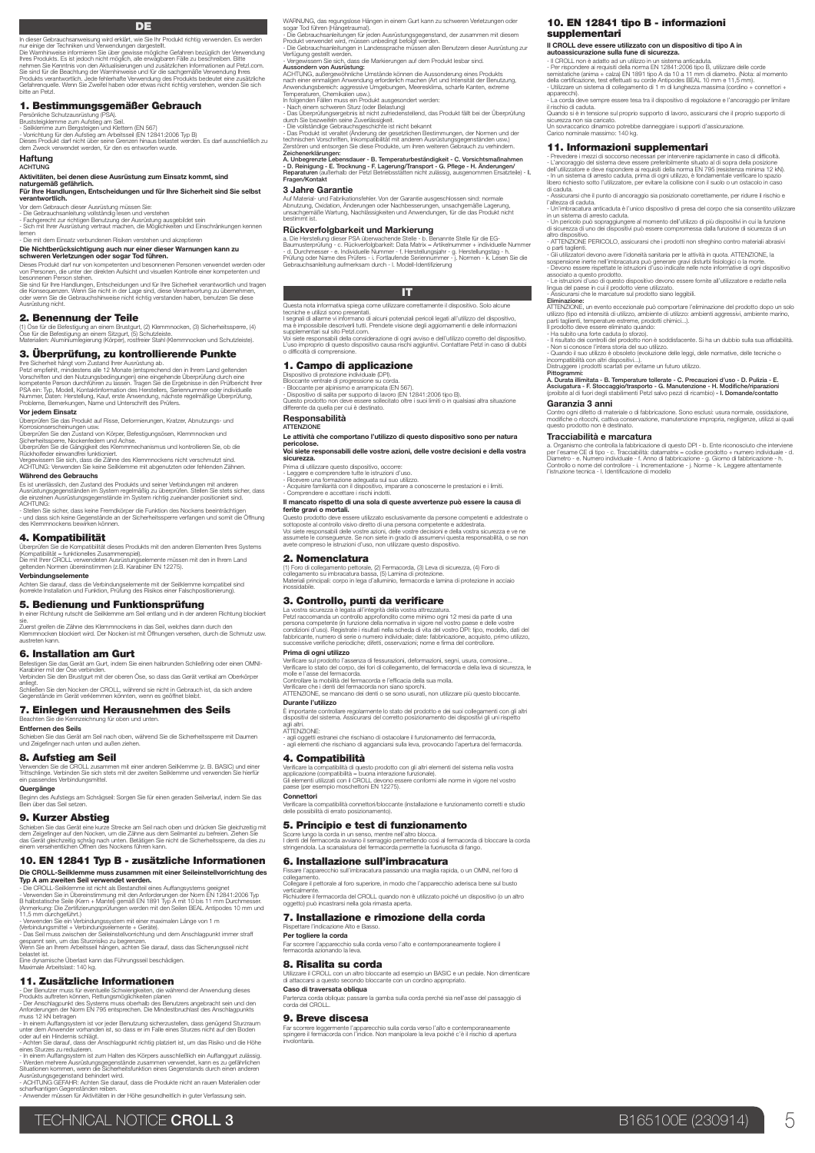**DE** 

In dieser Gebrauchsanweisung wird erklärt, wie Sie Ihr Produkt richtig verwenden. Es werden<br>nur einige der Techniken und Verwendungen dargestellt.<br>Die Warnhinweise informieren Sie über gewisse mögliche Gefahren bezüglich d

llnes Produkts. Es ist jedoch nicht möglich, alle ervägbaren Fälle zu beschreben. Bitte<br>nehmen Sie Kenntnis von den Aktualisierungen und zusätzlichen Informationen auf Petzl.com.<br>Sie sind für die Beachtung der Wamhinweise

### 1. Bestimmungsgemäßer Gebrauch

Persönliche Schutzausrüstung (PSA).<br>- Seilklermne zum Bergsteigen und Klettern (EN 567)<br>- Seilklermne zum Bergsteigen und Klettern (EN 567)<br>- Vorrichtung für den Aufstieg am Arbeitsseil (EN 12841:2006 Typ B)<br>Dieses Produkt

### **Haftung** ACHTUNG

Aktivitäten, bei denen diese Ausrüstung zum Einsatz kommt, sind naturgemäß gefährlich. Für Ihre Handlungen, Entscheidungen und für Ihre Sicherheit sind Sie selbst verantwortlich.

Vor dem Gebrauch dieser Ausrüstung müssen Sie: - Die Gebrauchsanleitung vollständig lesen und verstehen

- Fachgerecht zur richtigen Benutzung der Ausrüstung ausgebildet sein - Sich mit Ihrer Ausrüstung vertraut machen, die Möglichkeiten und Einschränkungen kennen lernen

- Die mit dem Einsatz verbundenen Risiken verstehen und akzeptieren<br>**Die Nichtberücksichtigung auch nur einer dieser Warnrungen kann zu<br>Sc<b>hweren Verletzungen oder sogar Tod führen.**<br>Dieses Produkt darf nur von kompetenten

Ausrüstung nicht.

### 2. Benennung der Teile

(1) Öse für die Befestigung an einem Brustgurt, (2) Klemmnocken, (3) Sicherheitssperre, (4)<br>Öse für die Befestigung an einem Sitzgurt, (5) Schutzleiste.<br>Materialien: Aluminiumlegierung (Körper), rostfreier Stahl (Klemmnock

### 3. Überprüfung, zu kontrollierende Punkte

line Sicherheit ikängt vom Zustand Ihrer Ausrüstung ab.<br>Petzl empfiehlt, mindsstens alle 12 Monate (entsprechend den in Ihrem Land geltenden<br>Vorschriften und den Nutzungsbedingungen) eine eingehende Überprüfung durch eine<br>

### Vor jedem Einsatz

Überprüfen Sie das Produkt auf Risse, Deformierungen, Kratzer, Abnutzungs- und<br>Korrosionserscheinungen usw.<br>Überprüfen Sie den Zustand von Körper, Befestigungsösen, Klemmnocken und<br>Sicherheitssperre, Nockenfedern und Achse

Überprüfen Sie die Gängigkeit des Klemmmechanismus und kontrollieren Sie, ob die<br>Rückholfeder einwandfrei funktioniert.<br>Vergewissern Sie sich, dass die Zähne des Klemmnockens nicht verschmutzt sind.<br>ACHTUNG: Verwenden Sie

**Während des Gebrauchs**<br>Es ist unerlässlich, den Zustand des Produkts und seiner Verbindungen mit anderen<br>Ausrüstungsgegenständen im System regelmäßig zu überprüfen. Stellen Sie stets sicher, dass<br>die einzelnen Ausrüstungs die einzelne

- Stellen Sie sicher, dass keine Fremdkörper die Funktion des Nockens beeinträchtigen - und dass sich keine Gegenstände an der Sicherheitssperre verfangen und somit die Öffnung des Klemmnockens bewirken können.

### 4. Kompatibilität

Überprüfen Sie die Kompatibilität dieses Produkts mit den anderen Elementen Ihres Systems<br>(Kompatibilität = funktionelles Zusammenspiel).<br>Die mit Ihrer CROLL. verwendeten Ausrüstungselemente müssen mit den in Ihrem Land<br>ge

**Verbindungselemente**<br>Achten Sie darauf, dass die Verbindungselemente mit der Seilklemme kompatibel sind<br>(korrekte Installation und Funktion, Prüfung des Risikos einer Falschpositionierung).

### 5. Bedienung und Funktionsprüfung

sie.<br>Zuerst greifen die Zähne des Klemmnockens in das Seil, welches dann durch den<br>Klemmnocken blockiert wird. Der Nocken ist mit Öffnungen versehen, durch die Schmutz usw.<br>austreten kann.

### 6. Installation am Gurt

Befestigen Sie das Gerät am Gurt, indem Sie einen halbrunden Schließring oder einen OMNI-Karabiner mit der Öse verbinden. Verbinden Sie den Brustgurt mit der oberen Öse, so dass das Gerät vertikal am Oberkörper anliegt.<br>Schließen Sie den Nocken der CROLL, während sie nicht in Gebrauch ist, da sich andere<br>Gegenstände im Gerät verklemmen könnten, wenn es geöffnet bleibt.

### 7. Einlegen und Herausnehmen des Seils

 $b$ eichnung für oben und unt

Entfernen des Seils Schieben Sie das Gerät am Seil nach oben, während Sie die Sicherheitssperre mit Daumen und Zeigefinger nach unten und außen ziehen.

### 8. Aufstieg am Seil

Verwenden Sie die CROLL zusammen mit einer anderen Seilklemme (z. B. BASIC) und einer Trittschlinge. Verbinden Sie sich stets mit der zweiten Seilklemme und verwenden Sie hierfür ein passendes Verbindungsmittel.

**Quergänge**<br>Beginn des Aufstiegs am Schrägseil: Sorgen Sie für einen geraden Seilverlauf, indem Sie das<br>Bein über das Seil setzen.

### 9. Kurzer Abstieg

Schieben Sie das Gerät eine kurze Strecke am Sell nach oben und drücken Sie gleichzeitig mit<br>dem Zeigefinger auf den Nocken, um die Zähne aus dem Seilmantel zu befreien. Ziehen Sie<br>dan Orvesten die Strecken dem Streckens f

# 10. EN 12841 Typ B - zusätzliche Informationen

**Die CROLL-Seiltenme muss zusammen mit einer Seileinstellvorrichtung des<br>Typ A am zweiten Seil verwendet werden.**<br>- Die CROLL-Seilkenme ist inicial stestandtei eines Aufangsystems geeignet<br>- Verwenden Sie in Übereinstimmun

(Verbindungsmittel + Verbindungselemente + Geräte).<br>- Das Seil muss zwischen der Seileinstellvorrichtung und dem Anschlagpunkt immer straff<br>gespannt sein, um das Sturzrisiko zu begrenzen.<br>Wenn Sie an Ihrem Arbeitsseil häng

### Eine dynamische Überlast kann das Führungsseil beschädigen. Maximale Arbeitslast: 140 kg.

### 11. Zusätzliche Informationen

- Der Benutzer muss für eventuelle Schwierigkeiten, die während der Anwendung dieses Produkts auftreten können, Rettungsmöglichkeiten planen

- Der Anschlagpunkt des Systems muss oberhalb des Benutzers angebracht sein und den Anforderungen der Norm EN 795 entsprechen. Die Mindestbruchlast des Anschlagpunkts muss 12 kN betragen

- In einem Auffangspetem ist vor jeder Benutzung sicherzustellen, dass genügend Stuzzeam.<br>unter dem Anwender vorhanden ist, so dass er im Falle eines Stuzzes nicht auf den Böden<br>oder auf ein Hindernis schlägt.<br>- Achten Sie

scharfkantigen Gegenständen reiben. - Anwender müssen für Aktivitäten in der Höhe gesundheitlich in guter Verfassung sein.

WARNUNG, das regungslose Hängen in einem Gurt kann zu schweren Verletzungen oder<br>sogar Tod führen (Hängetrauma!).<br>- Die Gebrauchsanleitungen für jeden Ausrüstungsgegenstand, der zusammen mit diesem<br>Produkt verwendet wird,

10. EN 12841 tipo B - informazioni

11. Informazioni supplementari

**il CROLL deve essere utilizzato con un dispositivo di tipo A in<br>autoassicurazione sulla fune di sicurezza.**<br>- Il CROLL non è adatto ad un utilizzo in un sistema anticaduta.<br>- Per rispondre ai requisiti della norma EN 128

apparecchi). - La corda deve sempre essere tesa tra il dispositivo di regolazione e l'ancoraggio per limitare ili rischio di caduta.<br>Sucardo si è in tensione sul proprio supporto di lavoro, assicurarsi che il proprio supporto di<br>sicurezza non sia caricato.<br>Un sovraccarico dinamico potrebbe danneggiare i supporti d'assicurazione.<br>C

- Prevedere i mezzi di soccorso necessari per intervenire rapidamente in caso di difficoltà.<br>• L'ancoraggio del sistema deve essere preferiblimente situato al di sopra della posizione.<br>dell'utilizzatione e deve rispondere libero richiesto sotto l'utilizzatore, per evitare la collisione con il suolo o un ostacolo in caso<br>di caduta.<br>- Assicurarsi che il punto di ancoraggio sia posizionato correttamente, per ridurre il rischio e

l'altezza di caduta.<br>1 - Un'imbracatura anticaduta è l'unico dispositivo di presa del corpo che sia consentito utilizzare<br>in un sistema di arresto caduta.<br>4 - Un pericolo può sopraggiungere al momento dell'utilizzo di più positivo.<br>IZIONE PERICOLO, assicurarsi che i prodotti non sfreghino contro materiali abrasiv o parti taglienti.<br>- Gli utilizzatori devono avere l'idonetà sanitaria per le attività in quota. ATTENZIONE, la<br>sospensione inerte nell'imbracatura può generare gravi disturbi fisiologici o la morte.<br>- Devono essere rispet associato a questo prodotto. - Le istruzioni d'uso di questo dispositivo devono essere fornite all'utilizzatore e redatte nella lingua del paese in cui il prodotto viene utilizzato.

- Assicurarsi che le marcature sul prodotto siano leggibili.<br>
Eliminazione:<br>
Eliminazione:<br>
Eliminazione: un sento eccezionale può comportare l'eliminazione del prodotto dopo un solo<br>
d'utilizzo (tipo ed intensità di utili

Pittogrammi:<br>A. Durata illimitata - B. Temperature tollerate - C. Precauzioni d'uso - D. Pulizia - E.<br>Asciugatura - F. Stoccaggio/trasporto - G. Manutenzione - H. Modifiche/riparazioni<br>(proibite al di fuori degli stabilime

**Traccciabilità e marcatura**<br>**a. Organismo che controlla la fabbricazione di questo DPI - b.** Ente riconosciuto che interviene<br>per l'esame CE di tipo - c. Tracciabilità: datamatrix = codice prodotto + numero individuale -

eriale o di fabbricazione. Sono esclusi: usura normale, o modifiche o ritocchi, cattiva conservazione, manutenzione impropria, negligenze, utilizzi ai quali questo prodotto non è destinato.

supplementari

Garanzia 3 anni

- Die Gebrauchsanieltungen in Landessprache müssen allen Benutzern dieser Ausrüstung zur Vertigewissern Sie sich, dass die Markierungen auf dem Produkt lesbar sind.<br>- Vertigewissern Sie sich, dass die Markierungen auf dem

A. Unbegrenzte Lebensdauer - B. Temperaturbeständigkeit - C. Vorsichtsmaßnahmen<br>- D. Reinigung - E. Trocknung - F. Lagerung/Transport - G. Pflege - H. Anderungen/<br>Repara/Kontakt<br>Fragen/Kontakt

### 3 Jahre Garantie

Auf Material- und Fabrikationsfehler. Von der Garantie ausgeschlossen sind: normale<br>Abnutzung, Oxidation, Änderungen oder Nachbesserungen, unsachgemäße Lagerung,<br>unsachgemäße Wartung, Nachlässigkeiten und Anwendungen, für

### Rückverfolgbarkeit und Markierung

a. Die Herstellung dieser PSA überwachende Stelle - b. Benannte Stelle für die EG-<br>Baumusterprüfung - c. Rückverfolgbarkeit: Data Matrix = Artikelnummer + indvickuelle Nummer<br>- d. Durchmesser - e. Individuelle Nummer - f.



Questa nota informativa spiega come utilizzare correttamente il dispositivo. Solo alcune<br>tecniche e utilizzi sono presentati.<br>1 segnali di allarme vi informano di alcuni potenziali pericoli legati all'utilizzo del disposit

supplementari sul sito Petzl.com.

Voi siete responsabili della considerazione di ogni avviso e dell'utilizzo corretto del dispositivo. L'uso improprio di questo dispositivo causa rischi aggiuntivi. Contattare Petzl in caso di dubbi o difficoltà di comprensione.

### 1. Campo di applicazione

Dispositivo di protezione individuale (DPI).<br>Elsoccante per alpinismo e arrampicata (EN 567).<br>- Bloccante per alpinismo e arrampicata (EN 567).<br>- Dispositivo di salita per supporto di lavoro (EN 12841:2006 tipo B).<br>Quifere Responsabilità

### ATTENZIONE

Le attività che comportano l'utilizzo di questo dispositivo sono per natura

### pericolose. Voi siete responsabili delle vostre azioni, delle vostre decisioni e della vostra

sicurezza.

Prima di utilizzare questo dispositivo, occorre:<br>- Leggere e comprendere tutte le istruzioni d'uso.<br>- Ricquisire familiantà con il dispositivo, imparare a conoscerne le prestazioni e i limiti.<br>- Acquisire familiantà con il

Il mancato rispetto di una sola di queste avvertenze può essere la causa di ferite gravi o mortali.

Questo prodotto deve essere utilizzato esclusivamente da persone competenti e addestrate o<br>sottoposte al controllo visivo diretto di una persona competente e addestrata.<br>Voi siete responsabili delle vostre azioni, delle vo

### 2. Nomenclatura

(1) Foro di collegamento pettorale, (2) Fermacorda, (3) Leva di sicurezza, (4) Foro di<br>collegamento su imbracatura bassa, (5) Lamina di protezione.<br>Materiali principali: corpo in lega d'alluminio, fermacorda e lamina di pr

### 3. Controllo, punti da verificare

La vostra sicurezza è legata all'integrità della vostra attrezzatura.<br>Petzi raccomanda un controllo approfondito come minimo ogni 12 mesi da parte di una<br>persona competente (in funzione della normativa in vigore nel vostro

### Prima di ogni utilizzo

Verificare sul prodotto l'assenza di fessurazioni, deformazioni, segni, usura, corrosione... Verificare lo stato del corpo, dei fori di collegamento, del fermacorda e della leva di sicurezza, le

- 
- molle e l'asse del fermacorda.<br>Controllare la mobilità del fermacorda e l'efficacia della sua molla.<br>Verificare che i denti del fermacorda non siano sporchi.<br>ATTENZIONE, se mancano dei denti o se sono usurati, non utilizza

### Durante l'utilizzo

inossidabile.

en Richtung blockiert

È importante controllare regolarmente lo stato del prodotto e dei suoi collegamenti con gli altri dispositivi del sistema. Assicurarsi del corretto posizionamento dei dispositivi gli uni rispetto

agli altri. ATTENZIONE: - agli oggetti estranei che rischiano di ostacolare il funzionamento del fermacorda, - agli elementi che rischiano di agganciarsi sulla leva, provocando l'apertura del fermacorda.

### 4. Compatibilità

Rispettare l'indicazione Alto e Basso. Per togliere la corda

8. Risalita su corda

Caso di traversata obliqua

9. Breve discesa

Verificare la compatibilità di questo prodotto con gli altri elementi del sistema nella vostra<br>applicazione (compatibilità = buona interazione funzionale).<br>Gli elementi utilizzati con il CROLL devono essere conformi alle n

Connettori

6. Installazione sull'imbracatura

Verificare la compatibilità connettori/bloccante (installazione e funzionamento corretti e studio delle possibilità di errato posizionamento). 5. Principio e test di funzionamento

Scorre lungo la corda in un senso, mentre nell'altro blocca.<br>I denti del fermacorda avviano il serraggio permettendo così al fermacorda di bloccare la corda<br>stringendola. La scanalatura del fermacorda permette la fuoriusci

collegamento. Collegare il pettorale al foro superiore, in modo che l'apparecchio aderisca bene sul busto verticalmente. Richiudere il fermacorda del CROLL quando non è utilizzato poiché un dispositivo (o un altro oggetto) può incastrarsi nella gola rimasta aperta.

7. Installazione e rimozione della corda

Far scorrere l'apparecchio sulla corda verso l'alto e contemporaneamente togliere il fermacorda azionando la leva.

Utilizzare il CROLL con un altro bloccante ad esempio un BASIC e un pedale. Non dimenticare di attaccarsi a questo secondo bloccante con un cordino appropriato.

Partenza corda obliqua: passare la gamba sulla corda perché sia nell'asse del passaggio di corda del CROLL.

Far scorrere leggermente l'apparecchio sulla corda verso l'alto e contemporaneamente spingere il fermacorda con l'indice. Non manipolare la leva poiché c'è il rischio di apertura involontaria.

Fissare l'apparecchio sull'imbracatura passando una maglia rapida, o un OMNI, nel foro di

TECHNICAL NOTICE CROLL 3  $B165100E (230914)$  5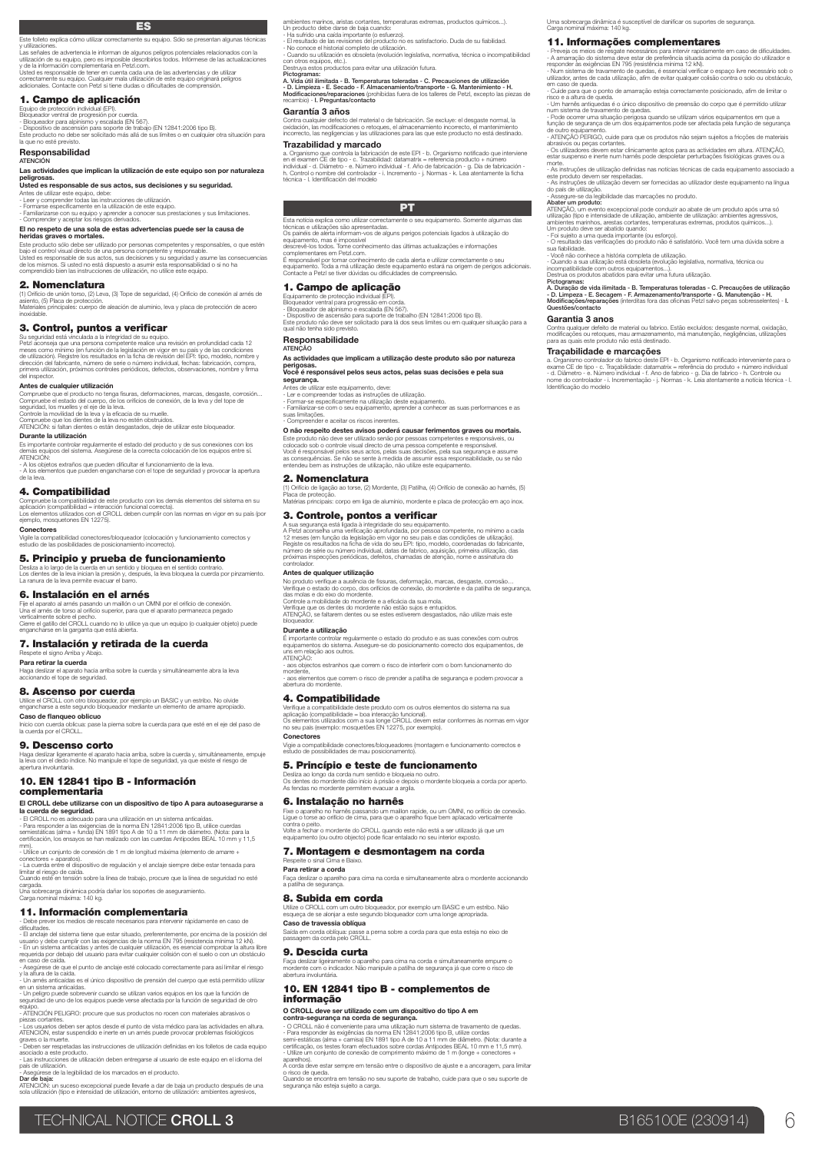Este folleto explica cómo utilizar correctamente su equipo. Sólo se presentan algunas técnicas

y utilizaciones.<br>Las señales de advertencia le informan de algunos pelígros potenciales relacionados con la<br>utilización de su equipo, pero es imposible describirlos todos. Infórmese de las actualizaciones<br>y de la informaci

1. Campo de aplicación

Equipo de protección individual (EP).<br>- Bloqueador ventral de progresión por cuerda.<br>- Bloqueador venra alpinismo y escalada (EN 567).<br>- Dispositivo de ascensión para soporte de trabajo (EN 12841:2006 tipo B).<br>- Esp produc

### Responsabilidad ATENCIÓN

### Las actividades que implican la utilización de este equipo son por naturaleza

# peligrosas. Usted es responsable de sus actos, sus decisiones y su seguridad. Antes de utilizar este equipo, debe:

- Leer y comprender todas las instrucciones de utilización. - Formarse específicamente en la utilización de este equipo.

- Familiarizarse con su equipo y aprender a conocer sus prestaciones y sus limitaciones. - Comprender y aceptar los riesgos derivados.

El no respeto de una sola de estas advertencias puede ser la causa de heridas graves o mortales.

Este producto sólo debe ser utilizado por personas competentes y responsables, o que estén<br>bajo el control visual directo de una persona competente y responsable.<br>Usted es responsable de sus actos, sus decisiones y su segu

### 2. Nomenclatura

(1) Orificio de unión torso, (2) Leva, (3) Tope de seguridad, (4) Orificio de conexión al arnés de<br>asiento, (5) Placa de protección.<br>Materiales principales: cuerpo de aleación de aluminio, leva y placa de protección de ace

### 3. Control, puntos a verificar

Su seguridad está vinculada a la integridad de su equipo.<br>Petzl aconseja que una persona competente realice una revisión en profundidad cada 12 meses como mínimo (en función de la legislación en vigor en su país y de las c

### Antes de cualquier utilización

Compruebe que el producto no tenga fisuras, deformaciones, marcas, desgaste, corrosión...<br>Compruebe el estado del cuerpo, de los oríficios de conexión, de la leva y del tope de<br>seguridad, los muelles y el eje de la leva.<br>C

Compruebe que los dientes de la leva no estén obstruidos. ATENCIÓN: si faltan dientes o están desgastados, deje de utilizar este bloqueador.

### Durante la utilización

Es importante controlar regularmente el estado del producto y de sus conexiones con los demás equipos del sistema. Asegúrese de la correcta colocación de los equipos entre sí. ATENCIÓN:

- A los objetos extraños que pueden dificultar el funcionamiento de la leva. - A los elementos que pueden engancharse con el tope de seguridad y provocar la apertura de la leva.

### 4. Compatibilidad

Compruebe la compatibilidad de este producto con los demás elementos del sistema en su<br>aplicación (compatibilidad = interacción funcional correcta).<br>Los elementos utilizados con el CROLL deben cumplir con las normas en vig

**Conectores**<br>Vigile la compatibilidad con<br>estudio de las posibilidades Vigile la compatibilidad conectores/bloqueador (colocación y funcionamiento correctos y estudio de las posibilidades de posicionamiento incorrecto).

### 5. Principio y prueba de funcionamiento

Desliza a lo largo de la cuerda en un sentido y bloquea en el sentido contrario.<br>Los dientes de la leva inician la presión y, después, la leva bloquea la cuerda por pinzamiento.<br>La ranura de la leva permite evacuar el barr

6. Instalación en el arnés<br>Fije el aparato al arnés pasando un maillón o un OMNI por el orificio de conexión.<br>Una el arrés de torso al orificio superior, para que el aparato permanezca pegado<br>verticalmente sobre el pecho. Cierre el gatillo del CROLL cuando no lo utilice ya que un equipo (o cualquier objeto) puede engancharse en la garganta que está abierta.

7. Instalación y retirada de la cuerda Respete el signo Arriba y Abajo. Para retirar la cuerda

tia arriba sobre la cuerda y simultáneamente abra la leva Haga deslizar el aparato hacia<br>accionando el tope de segurida

8. Ascenso por cuerda Utilice el CROLL con otro bloqueador, por ejemplo un BASIC y un estribo. No olvide engancharse a este segundo bloqueador mediante un elemento de amarre apropiado. Caso de flanqueo oblicuo

Inicio con cuerda oblicua: pase la pierna sobre la cuerda para que esté en el eje del paso de la cuerda por el CROLL.

### 9. Descenso corto

Haga deslizar ligeramente el aparato hacia arriba, sobre la cuerda y, simultáneamente, empuje la leva con el dedo índice. No manipule el tope de seguridad, ya que existe el riesgo de apertura involuntaria.

### 10. EN 12841 tipo B - Información complementaria

# El CROLL debe utilizarse con un dispositivo de tipo A para autoasegurarse a la cuerda de seguridad.

- El CROILL no es adecuado para una utilización en un sistema anticaídas.<br>- Para responder a las exigencias de la norma EN 12841:2006 tipo B, utilice cuerdas<br>semiestáticas (alma + funda) EN 1891 tipo A de 10 a 11 mm de diá

mm). - Utilice un conjunto de conexión de 1 m de longitud máxima (elemento de amarre +

conectores + aparatos).<br>- La cuerda entre el dispositivo de regulación y el anclaje siempre debe estar tensada para<br>limitar el riesgo de caída.<br>Cuando esté en tensión sobre la línea de trabajo, procure que la línea de segu

cargada. Una sobrecarga dinámica podría dañar los soportes de aseguramiento. Carga nominal máxima: 140 kg.

# **11. Información complementaria**<br>- Debe prever los medios de rescata pecesarios para intervenir rápidamente en caso de

- Debe prever los medios de rescate necesarios para intervenir rápidamente en caso de<br>dificultades.<br>Cificultades de istema tiene que estar situado, preferentemente, por encima de la posición del<br>usuario y debe cumplir con

y la altura de la caída. - Un arnés anticaídas es el único dispositivo de prensión del cuerpo que está permitido utilizar

en un sistema anticaídas.<br>- Un peligro puede sobrevenir cuando se utilizan varios equipos en los que la función de<br>seguridad de uno de los equipos puede verse afectada por la función de seguridad de otro

equipo. - ATENCIÓN PELIGRO: procure que sus productos no rocen con materiales abrasivos o

piezas cortantes.<br>- Los usuarios deben ser aptos desde el punto de vista médico para las actividades en altura.<br>ATENCIÓN, estar suspendido e inerte en un arnés puede provocar problemas fisiológicos

graves o la muerte. - Deben ser respetadas las instrucciones de utilización definidas en los folletos de cada equipo

xciado a este producto.<br>as instrucciones de utilización deben entregarse al usuario de este equipo en el idioma del

- Las instrucciones de utilización deben entregarse al usuario de este equipo en el idioma del<br>- Asegúrese de la legibilidad de los marcados en el producto.<br>**O lar de baja:**<br>ATENCIÓN: un suceso excepcional puede llevarle a

ambientes marrinos, aristas cortantes, temperaturas extremas, productos químicos...).<br>Un producto debe darse de baja cuando:<br>- Ha sufrido una caída importante (o estuerzo).<br>- El resultado de las revisiones del producto no

Uma sobrecarga dinâmica é susceptível de danificar os suportes de segurança. Carga nominal máxima: 140 kg. 11. Informações complementares

- Preveja os meios de resgate necessários para intervir rapidamente em caso de dificuldades. - A amarração do sistema deve estar de preferência situada acima da posição do utilizador e responder às exigências EN 795 (resistência mínima 12 kN).<br>- Num sistema de travamento de quedas, é essencial verificar o espaço livre necessário sob o<br>utilizador, antes de cada utilização, afim de evitar qualquer colisão

risco e a altura de queda.<br>
« Lombarde queda.<br>
« Lombardes de vinico dispositivo de preensão do corpo que é permitido utilizar narissamente de travamento de quedas.<br>
« Pode ocorrer uma situação perigosa quando se utilizam

- As instruções de utilização definidas nas notícias técnicas de cada equipamento associado a este produto devem ser respeitadas. - As instruções de utilização devem ser fornecidas ao utilizador deste equipamento na língua

ATENÇÃO, um evento excepcional pode conduzir ao abate de um produto após uma só<br>utilização (tipo e intensidade de utilização, ambiente de utilização: ambientes agressivos,<br>ambientes marinhos, arestas cortantes, temperatura - Foi sujeito a uma queda importante (ou esforço). - O resultado das verificações do produto não é satisfatório. Você tem uma dúvida sobre a sua fiabilidade. - Você não conhece a história completa de utilização. - Quando a sua utilização está obsoleta (evolução legislativa, normativa, técnica ou incompatibilidade com outros equipamentos...).

Destrua os produtos abatidos para evitar uma futura utilização.<br>A. Duração de vida ilimitada - B. Temperaturas toleradas - C. Precauções de utilização<br>A. Duração de vida ilimitada - B. Temperaturas toleradas - C. Manutençã

Contra qualquer defeito de material ou fabrico. Estão excluídos: desgaste normal, oxidação,<br>modificações ou retoques, mau armazenamento, má manutenção, negligências, utilizações<br>para as quais este produto não está destinad

a. Organismo controlador do fabrico deste EPI - b. Organismo notificado interveniente para o exame CE de tipo - c. Traçabilidade: datamatrix = referência do produto + número individual - d. Diâmetro - e. Número individual

do país de utilização.<br>- Assegure-se da legibilidade das marcações no produto.<br>**Abater um produto:** 

Garantia 3 anos

Traçabilidade e marcações

Pictogramas:<br>A. Vida útil ilimitada - B. Temperaturas toleradas - C. Precauciones de utilización<br>- D. Limpieza - E. Secado - F. Almacenamiento/transporte - G. Mantenimiento - H.<br>Modificaciones/reparaciones (prohibidas fuer

### Garantía 3 años

Contra cualquier defecto del material o de fabricación. Se excluye: el desgaste normal, la<br>oxidación, las modificaciones o retoques, el almacenamiento incorrecto, el mantenimiento<br>incorrecto, las negligencias y las utiliza Trazabilidad y marcado

a. Organismo que controla la fabricación de este EPI - b. Organismo notificado que interviene<br>en el examen CE de tipo - c. Trazabilidad: datamatrix = referencia producto + número<br>Individual - d. Diámetro - e. Número indivi

PT

Esta notícia explica como utilizar correctamente o seu equipamento. Somente algumas das<br>técnicas e utilizações são apresentadas.<br>Os painéis de aleira informam-vos de alguns perigos potenciais ligados à utilização do<br>equipa

descrevê-los todos. Tome conhecimento das últimas actualizações e informações complementares em Petzl.com. u.<br>ecimento de cada alerta e utilizar correctamente o seu

equipamento. Toda a má utilização deste equipamento estará na origem de perigos adicionais. Contacte a Petzl se tiver dúvidas ou dificuldades de compreensão.

### 1. Campo de aplicação

Equipamento de protecção individual (EPI). Bloqueador ventral para progressão em corda. - Bloqueador de alpinismo e escalada (EN 567).

- Dispositivo de ascensão para suporte de trabalho (EN 12841:2006 tipo B). Este produto não deve ser solicitado para lá dos seus limites ou em qualquer situação para a qual não tenha sido previsto.

Responsabilidade

### ATENÇÃO<br>As activida des que implicam a utilização deste produto são por natureza

perigosas. Você é responsável pelos seus actos, pelas suas decisões e pela sua

**segurança.**<br>Antes de utilizar este equipamento, deve:<br>- Ler e compreender todas as instruções de utilização.<br>- Formar-se especificamente na utilização deste equipamento.

- Familiarizar-se com o seu equipamento, aprender a conhecer as suas performances e as suas limitações. - Compreender e aceitar os riscos inerentes.

O não respeito destes avisos poderá causar ferimentos graves ou mortais.

Este produto não deve ser utilizado senão por pessoas competentes e responsáveis, ou<br>colocado sob o controle visual directo de uma pessoa competente e responsável.<br>Você é responsável pelos seus actos, pelas suas decisões,

### 2. Nomenclatura

(1) Orifício de ligação ao torse, (2) Mordente, (3) Patilha, (4) Orifício de conexão ao harnês, (5) Placa de protecção. Matérias principais: corpo em liga de alumínio, mordente e placa de protecção em aço inox.

### 3. Controle, pontos a verificar

A sua segurança está ligada à integridade do seu equipamento.<br>A Petzi aconselha uma verificação aprofundada, por pessoa competente, no mínimo a cada<br>12 meses (em função da legislação em vigor no seu país e das condições de número de série ou número individual, datas de fabrico, aquisição, primeira utilização, das próximas inspecções periódicas, defeitos, chamadas de atenção, nome e assinatura do controlador.

### Antes de qualquer utilização

No produto verifique a ausência de fissuras, deformação, marcas, desgaste, corrosão… Verifique o estado do corpo, dos orifícios de conexão, do mordente e da patilha de segurança, das molas e do eixo do mordente.

É importante controlar regularmente o estado do produto e as suas conexões com outros equipamentos do sistema. Assegure-se do posicionamento correcto dos equipamentos, de uns em relação aos outros. ATENÇÃO: - aos objectos estranhos que correm o risco de interferir com o bom funcionamento do mordente, - aos elementos que correm o risco de prender a patilha de segurança e podem provocar a abertura do mordente.

Verifique a compatibilidade deste produto com os outros elementos do sistema na sua<br>aplicação (compatibilidade = boa interacção funcional),<br>Os elementos utilizados com a sua longe CROLL devem estar conformes às normas em v

Vigie a compatibilidade conectores/bloqueadores (montagem e funcionamento correctos e estudo de possibilidades de mau posicionamento).

Desliza ao longo da corda num sentido e bloqueia no outro.<br>Os dentes do mordente dão início à prisão e depois o mordente bloqueia a corda por aperto.<br>As fendas no mordente permitem evacuar a argila.

**6. Instalação no harmên**<br>Fi**xe o apareiro ro harrién passando um mallion rapide, ou um OMNI, no orifício de conexão<br>Ligua o torse ao orifício de cima, para que o apareiro fique bem aplacado verticalmente<br>contra o pelto.<br>V** 

Faça deslizar o aparelho para cima na corda e simultaneamente abra o mordente accionando a patilha de segurança.

**8. Subida em corda**<br>Utiliza o CROLL com um outro bioqueador, por exemplo um BASIC e um estribo. Não<br>esqueça de se alonjar a este segundo bloqueador com uma longe apropriada.<br>**Caso de travessia obliqua:**<br>Saída em corda obl .<br>Saída em corda oblíqua: passe a perna sobre a corda para que esta esteja no eixo de<br>passagem da corda pelo CROLL.

Faça deslizar ligeiramente o aparelho para cima na corda e simultaneamente empurre o mordente com o indicador. Não manipule a patilha de segurança já que corre o risco de abertura involuntária. 10. EN 12841 tipo B - complementos de

O CROLL deve ser utilizado com um dispositivo do tipo A em<br>contra-segurança na corda de segurança.<br>- O CROLL não é conveniente para um autilização num sistema de travamento de quedas.<br>- Para responder às exigências da norm

A corda deve estar sempre em tensão entre o dispositivo de ajuste e a ancoragem, para limitar o risco de queda. Quando se encontra em tensão no seu suporte de trabalho, cuide para que o seu suporte de segurança não esteja sujeito a carga.

5. Princípio e teste de funcionamento

7. Montagem e desmontagem na corda

TECHNICAL NOTICE CROLL 3 B165100E (230914) 6

Controle a mobilidade do mordente e a eficácia da sua mola. Verifique que os dentes do mordente não estão sujos e entupidos. ATENÇÃO, se faltarem dentes ou se estes estiverem desgastados, não utilize mais este bloqueador.

4. Compatibilidade

Respeite o sinal Cima e Baixo. Para retirar a corda

9. Descida curta

informação

Conectores

Durante a utilização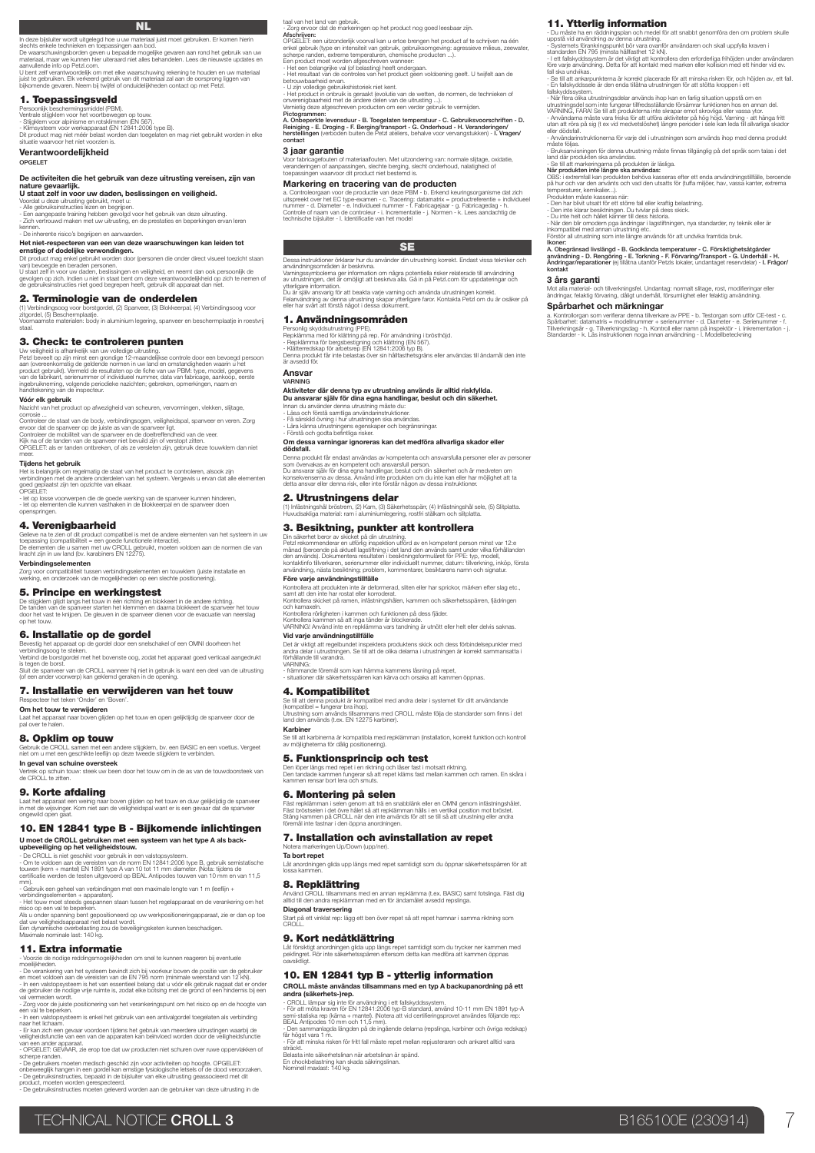### NL

In deze bijsluiter wordt uitgelegd hoe u uw materiaal juist moet gebruiken. Er komen hierin<br>slechts enkele technieken en toepassingen aan bod.<br>De waarschuwingsborden geven u bepaalde mogelijke gevaren aan rond het gebruik

aanvullende info op Petzl.com.<br>U bent zelf verantwoordelijk om met elke waarschuwing rekening te houden en uw materiaal<br>juist te gebruiken. Elk verkeerd gebruik van dit materiaal zal aan de oorsprong liggen van<br>bijkomende

### 1. Toepassingsveld

Persoonlijk beschermingsmiddel (PBM),<br>^ Stijgklem voor het voorbewegen op touw.<br>^ Stijgklem voor alpinisme en rotsklimmen (EN 567).<br>Oli product mag niet méér belast worden (DN 12641:2006 type B).<br>Oli unoduct mag niet mét v

Verantwoordelijkheid OPGELET

### De activiteiten die het gebruik van deze uitrusting vereisen, zijn van nature gevaarlijk.

U staat zelf in voor uw daden, beslissingen en veiligheid.

Voordat u deze uitrusting gebruikt, moet u:<br>- Alle gebruiksinstructies lezen en begrijpen.<br>- Een aangepaste training hebben gevolgd voor het gebruik van deze uitrusting.<br>- Zich vertrouwd maken met uw uitrusting, en de pres kennen.<br>Cominh

### erente risico's begrijpen en aanvaarden

Het niet-respecteren van een van deze waarschuwingen kan leiden tot ernstige of dodelijke verwondingen.

Dit product mag enkel gebruikt worden door (personen die onder direct visueel toezicht staan van) bevoegde en beraden personen.<br>U staat zelf in voor uw daden, beslissingen en veiligheid, en neemt dan ook persoonlijk de<br>gevolgen op zich. Indien u niet in staat bent om deze verantwoordelijkheid op zich te nemen of<br>d

# **2. Terminologie van de onderdelen**<br>(1) Verbindinasoog voor borstgordel. (2) Spanyeer. (3) Blokkeerpal. (4) Verbindinasoog voo

(1) Verbindingsoog voor borstgordel, (2) Spanveer, (3) Blokkeerpal, (4) Verbindingsoog voor<br>zitgordel, (5) Beschermplaatje.<br>Voornaamste materialen: body in aluminium legering, spanveer en beschermplaatje in roestvrij<br>staal

3. Check: te controleren punten

Uw veiligheid is afhankelijk van uw volledige uitrusting.<br>Petzl beveilt op zijn minst een grondige 12-maandeijkse controle door een bevoegd persoon<br>aan (overeenkomstig de geldende normen in uw land en omstandigheden waarin

### Vóór elk gebruik

Nazicht van het product op afwezigheid van scheuren, vervormingen, vlekken, slijtage,

corrosie ...<br>Controleer de staat van de body, verbindingsogen, veiligheidspal, spanveer en veren. Zorg<br>envoor dat de spanveer op de juiste as van de spanveer ligt.<br>Controleer de mobiliteit van de spanveer en de doeltreffen

### Tijdens het gebruik

Het is belangrijk om regelmatig de staat van het product te controleren, alsook zijn verbindingen met de andere onderdelen van het systeem. Vergewis u ervan dat alle elementen goed geplaatst zijn ten opzichte van elkaar.<br>OPGELET:

OPGELET: - let op losse voorwerpen die de goede werking van de spanveer kunnen hinderen, - let op elementen die kunnen vasthaken in de blokkeerpal en de spanveer doen openspringen.

4. Verenigbaarheid<br>Gelieve na te zien of dit product compatibel is met de andere elementen van het systeem in uw<br>toepassing (compatibiliteit = een goede functionele interactie).<br>De elementen die u samen met uw CROLL gebrui

Zorg voor compatibiliteit tussen verbindingselementen en touwklem (juiste installatie en werking, en onderzoek van de mogelijkheden op een slechte positionering).

### 5. Principe en werkingstest

De stijgklem gijidt langs het touw in één richting en blokkeert in de andere richting.<br>De tanden van de spanveer starten het klemmen en daarna blokkeert de spanveer het touw<br>door het touw.<br>op het touw.

# **6. Installatie op de gordel**<br>Bevestig het apparaat op de gordel door een spelschakel of een OMNI doorbeen het

Bevestig het apparaat op de gordel door een snelschakel of een OMNI doorheen het<br>verbindingsoog te steken.<br>Verbind de borstgordel met het bovenste oog, zodat het apparaat goed verticaal aangedrukt is tegen de borst.<br>Sluit de spanveer van de CROLL wanneer hij niet in gebruik is want een deel van de uitrusting<br>(of een ander voorwerp) kan geklemd geraken in de opening.

### 7. Installatie en verwijderen van het touw

Respecteer het teken 'Onder' en 'Boven'. Om het touw te verwijderen

**Jaat om**<br>wen aliiden op het touw en open gelijktijdig de spanveer door de Laat het apparaat naar bond<br>pal over te halen.

### 8. Opklim op touw

Gebruik de CROLL samen met een andere stijgklem, bv. een BASIC en een voetlus. Vergeet niet om u met een geschikte leeflijn op deze tweede stijgklem te verbinden.

# **In geval van schuine oversteek**<br>Vertrek op schuin touw: steek uw been door het touw om in de as van de touwdoorsteek van<br>de CROLL te zitten.

9. Korte afdaling

Laat het apparaat een weinig naar boven glijden op het touw en duw gelijktijdig de spanveer in met de wijsvinger. Kom niet aan de veiligheidspal want er is een gevaar dat de spanveer ongewild open gaat.

### 10. EN 12841 type B - Bijkomende inlichtingen

**U moet de CROLL gebruiken met een systeem van het type A als back-<br>upbeveiliging op het veiligheidstouw.**<br>- De CROLL is niet geschikt voor gebruik in een valstopsysteem.<br>- Om te voldoen aan de vereisten van de norm EN 128

mm). - Gebruik een geheel van verbindingen met een maximale lengte van 1 m (leeflijn + verbindingselementen + apparaten). - Het touw moet steeds gespannen staan tussen het regelapparaat en de verankering om het

risico op een val te beperken.<br>Als u onder spanning bent gepositioneerd op uw werkpositioneringapparaat, zie er dan op toe<br>dat uw veiligheidsapparaat niet belast wordt.<br>Een dynamische overbelasting zou de beveiligingsketen

### 11. Extra informatie

- Voorzie de nodige reddingsmogelijkheden om snel te kunnen reageren bij eventuele<br>- Ororzie de nodige reddingsmogelijkheden om snel te kunnen reageren bij eventuele<br>- De verankering van het systeem bevindt zich bij voorke

- In een valstopsysteem is enkel het gebruik van een antivalgordel toegelaten als verbinding<br>- Er kan zich een gevaar voordoen tijdens het gebruik van meerdere uitrustingen waarbij de<br>- Er kan zich een gevaar voan de appar

scherpe randen.<br>- De gebruikers moeten medisch geschikt zijn voor activiteiten op hoogte. OPGELET:<br>onbeveeglijk hangen in een gordel kan errstige fysiologische letsels of de dood veroorzaken.<br>- De gebruiksinstructies, bepa

taal van het land van gebruik.<br>- Zorg ervoor dat de markeringen op het product nog goed leesbaar zijn.

11. Ytterlig information

3 års garanti

- Du måste ha en räddningsplan och medel för att snabbt genomföra den om problem skulle<br>uppstå vid användning av denna utrustning.<br>- Systemets förankringspunkt bör vara ovanför användaren och skall uppfylla kraven i<br>standa

- Se till att ankarpunkterna är korrekt placerade för att minska risken för, och höjden av, ett fall. - En fallskyddssele är den enda tillåtna utrustningen för att stötta kroppen i ett

fallskyddssystem.<br>Allen Starten under handen används ihop kan en farlig situation uppstå om en<br>utrustningsdel som inte fungerar tillfredsställande försämrar funktionen hos en annan del.<br>utrustningsdel som inte fungerar til

- Bruksam/siningen för denna utrustning måste finnas tillgänglig på det språk som talas i det<br>- Se till att markeringarna på produkten ska användas.<br>- Se till att markeringarna på produkten i ar läsliga.<br>När produkten inte

A. Obegränsad livslängd - B. Godkända temperaturer - C. Försiktighetsåtgärder<br>användning - D. Rengöring - E. Torkning - F. Förvaring/Transport - G. Underhåll - H.<br>Ändringar/reparationer (ej tilåtna utanför Petzls lokaler,

Mot alla material- och tillverkningsfel. Undantag: normalt slitage, rost, modifieringar eller ändringar, felaktig förvaring, dåligt underhåll, försumlighet eller felaktig användning. Spårbarhet och märkningar<br>a. Kontrollorgan som verifierar denna tillverkare av PPE - b. Testorgan som utför CE-test - c.<br>Spårbarhet: datamatris = modellnummer + serienummer - d. Diameter - e. Serienummer - f.<br>Tillverknings ntrollorgan som verifierar denna tillverkare av PPE - b. Testorgan som utför CE-test -<br>parhet: datamatris = modellhummer + serienummer - d. Diameter - e. Serienummer<br>rkningsår - g. Tillverkningsdag - h. Kontroll eller namn

aijas.<br>anvisningen för denna utrustning måste finnas tillgänglig på det språk som talas i det

- Zorg ervoor dat de markeringen op het product nog goed leesbaar zijn.<br>Afschrijven:<br>Afschrijven: dat de markeringik voorval kan u erloe brengen het product af te schrijven na één<br>orkel gebruik (type en intensiteit van geb onverenigbaarheid met de andere delen van de uitrusting ...). Vernietig deze afgeschreven producten om een verder gebruik te vermijden. Pictogrammen:

A. Onbeperkte levensduur - B. Toegelaten temperatuur - C. Gebruiksvoorschriften - D.<br>Reiniging - E. Droging - F. Berging/transport - G. Onderhoud - H. Veranderingen/<br>herstellingen (verboden buiten de Petzl ateliers, behal contact

### 3 jaar garantie

Voor fabricagefouten of materiaalfouten. Met uitzondering van: normale slijtage, oxidatie, veranderingen of aanpassingen, slechte berging, slecht onderhoud, nalatigheid of toepassingen waarvoor dit product niet bestemd is.

### Markering en tracering van de producten

a. Controleorgaan voor de productie van deze PBM - b. Erkend keuringsorganisme dat zich<br>uitspreekt over het EC type-examen - c. Tracering: datamatrix = productreferentie + individueel<br>rummer - d. Diameter - e. Individueel

### SE

Dessa instruktioner örklarar hur du använder din utrustning korrekt. Endast vissa tekniker och

användningsområden är beskrivna.<br>Varningssymbolerna ger information om några potentiella risker relaterade till användning<br>av utrustningen, det är omöjligt att beskriva alla. Gå in på Petzl.com för uppdateringar och<br>ytterl

Du är själv ansvarig för att beakta varje varning och använda utrustningen korrekt.<br>Felanvändning av denna utrustning skapar ytterligare faror. Kontakta Petzl om du är osäker på.<br>eller har svårt att förstå något i dessa do

### 1. Användningsområden

Personlig skyddsutustning (PPE).<br>Repklämma med för klätting på rep. För användning i brösthöjd.<br>- Repklämma för bergsbestigning och klättring (EN 567).<br>- Klätterredskap för arbetsep (EN 12841:2006 typ B).<br>Denna produkt får

### är avsedd för.

Ansvar VARNING

### Aktiviteter där denna typ av utrustning används är alltid riskfyllda. Du ansvarar själv för dina egna handlingar, beslut och din säkerhet.

Innan du använder denna utrustning måste du:<br>- Läsa och förstå samtliga användarinstruktioner.<br>- Få särskild övning i hur utrustningen ska användas.<br>- Förstå och godta befintliga risker.<br>- Förstå och godta befintliga riske

### Om dessa varningar ignoreras kan det medföra allvarliga skador eller

**dödafall.**<br>Denna produkt får endast användas av kompetenta och ansvarsfulla personer eller av personer<br>som övervakas av en kompetent coh ansvarsfull person.<br>Du ansvarar själv för dina egna handlingar, beslut och din säker

### 2. Utrustningens delar

(1) Infästningshål bröstrem, (2) Kam, (3) Säkerhetsspärr, (4) Infästningshål sele, (5) Slitplatta. Huvudsakliga material: ram i aluminiumlegering, rostfri stålkam och slitplatta.

### 3. Besiktning, punkter att kontrollera

Din säkerhet beror av skicket på din utrustning.<br>Petzl rekommenderar en utförlig inspektion utförd av en kompetent person minst var 12:e<br>månad (beroende på aktuell lagstiftning i det land den används samt under vilka förhå

### Före varje användningstillfälle

Kontrollera att produkten inte är deformerad, sliten eller har sprickor, märken efter slag etc.,<br>samt att den inte har rostat eller korroderat.<br>Kontrollera skicket på ramen, infästningshålen, kammen och säkerhetsspärren, f

och kamaxeln.<br>Kontrollera rörligheten i kammen och funktionen på dess fjäder.<br>Kontrollera kammen så att inga tänder är blockerade.<br>VARNING! Använd inte en repklämma vars tandning är utnött eller helt eller delvis saknas.

### Vid varie användningstillfälle

5. Funktionsprincip och test

eringen Up/Down (upp/ner)

Det är viktigt att regelbundet inspektera produktens skick och dess förbindelsepunkter med andra delar i utrustningen. Se till att de olika delarna i utrustningen är korrekt sammansatta i

Se till att denna produkt är kompatibel med andra delar i systemet för ditt användande<br>(kompatibel = fungerar bra ihop).<br>Urunstning som används tillsammans med CROLL måste följa de standarder som finns i det<br>land den använ

Se till att karbinerna är kompatibla med repklämman (installation, korrekt funktion och kontroll av möjligheterna för dålig positionering).

Den löper längs med repet i en riktning och låser fast i motsatt riktning.<br>Den tandade kammen fungerar så att repet kläms fast mellan kammen och ramen. En skåra i<br>kammen rensar bort lera och smuts.

**6. Montering på selen**<br>Fäst repkämmn i selen genom att rä en snabblänk eller en OMNI genom inflästningshålet<br>Fäst tröstselen i det övre hålet så att repklämman hålls i en vertikal position mot bröstet.<br>Stäng kammen på CRO

Låt anordningen glida upp längs med repet samtidigt som du öppnar säkerhetsspärren för att lossa kammen.

Använd CROLL tillsammans med en annan repklämma (t.ex. BASIC) samt fotslinga. Fäst dig alltid till den andra repklämman med en för ändamålet avsedd repslinga. **Diagonal traversering**<br>Start på ett vinklat rep: lägg ett ben över repet så att repet hamnar i samma riktning som

Låt försiktigt anordningen glida upp längs repet samtidigt som du trycker ner kammen med pekfingret. Rör inte säkerhetsspärren eftersom detta kan medföra att kammen öppnas oavsiktligt. 10. EN 12841 typ B - ytterlig information

**CROLL mäste användas tillsammans med en typ A backupanordning på ett<br>andra (säkerhets-)rep.**<br>- CROLL lämpar sig inte för användning i ett fallskyddssystem.<br>- För att möta kraven för EN 12841:2006 typ-B standard, använd 10

får högst vara 1 m. - För att minska risken för fritt fall måste repet mellan repjusteraren och ankaret alltid vara

7. Installation och avinstallation av repet

TECHNICAL NOTICE CROLL 3 B165100E (230914) 7

förhållande till varandra. VARNING:

### - främmande föremål som kan hämma kammens låsning på repet, - situationer där säkerhetsspärren kan kärva och orsaka att kammen öppnas.

### 4. Kompatibilitet

Karbiner

Ta bort repet

Start pe

8. Repklättring

9. Kort nedåtklättring

sträckt. Belasta inte säkerhetslinan när arbetslinan är spänd. En chockbelastning kan skada säkringslinan. Nominell maxlast: 140 kg.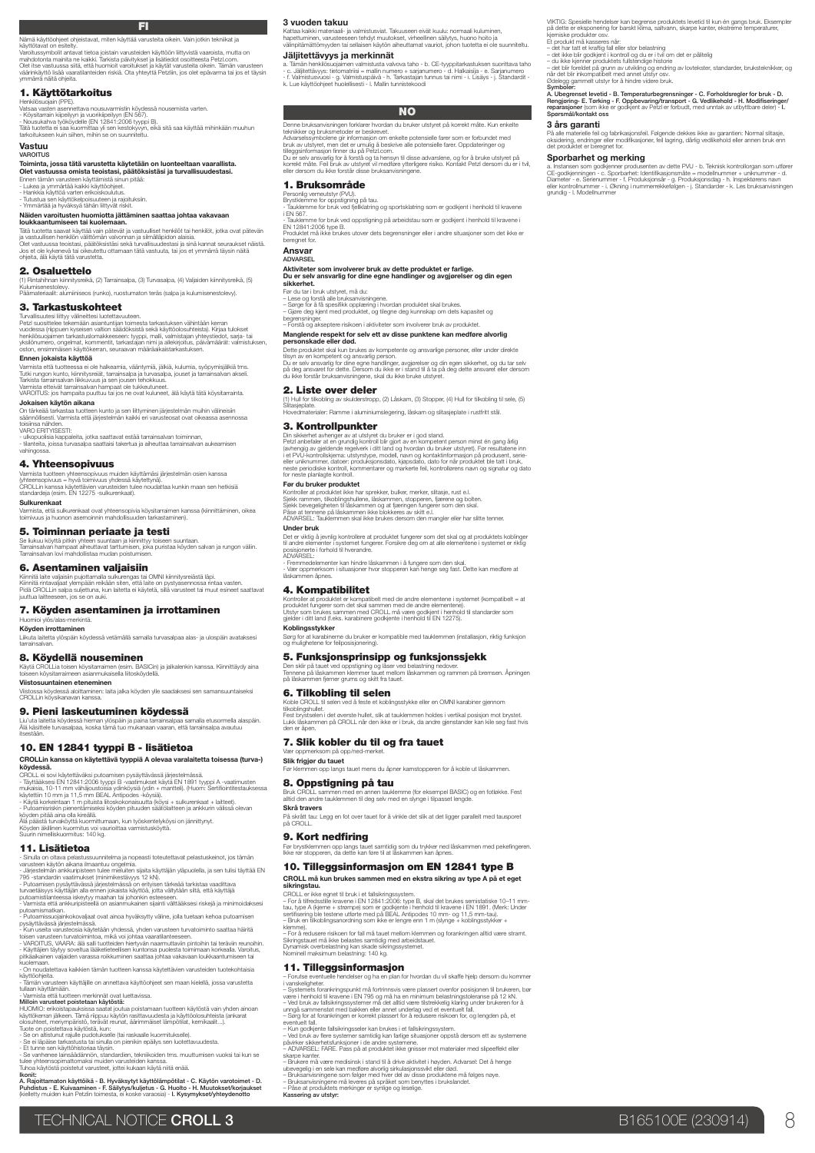**FI**<br>Nämä käyttöohjeet ohjeistavat, miten käyttää varusteita oikein. Vain jotkin tekniikat ja<br>käyttötavat on esitelty. Varoltussymbolit antavat lietoa joistain varusteiden käyttöön liittyvistä vaaroista, mutta on<br>mahdotonta mainita ne kaikki. Tarkista päivilykset ja lisätiedot osoitteesta Petzl.com.<br>Olet lise vastuussa siitä, että huomioit

### 1. Käyttötarkoitus

Henkilösuojain (PPE).<br>- Kõysitarrain kiipeliyyn ja vuorikipeliyyn (EN 567).<br>- Kõysitarrain kiipeliyyn ja vuorikipeliyyn (EN 567).<br>- Nousukahva työköydelle (EN 12841:2006 tyyppi B).<br>- Nousukahva työköydelle (EN 12841:2006 t

Vastuu

### VAROITUS

## Toiminta, jossa tätä varustetta käytetään on luonteeltaan vaarallista. Olet vastuussa omista teoistasi, päätöksistäsi ja turvallisuudestasi.

Ennen tämän varusteen käyttämistä sinun pitää:<br>- Lukea ja ymmärtää kaikki käyttöohjeet.<br>- Hankkia käyttöä varten erikoiskoulutus.<br>- Tutustua sen käyttökelpoisuuteen ja rajoituksiin.<br>- Ymmärtää ja hyväksyä tähän liittyvät r

**Näiden varoitusten huomiotta jättäminen saattaa johtaa vakavaan<br>loukkaantumiseen tai kuolemaan.<br>Tätä tuotetta saavat käyttää vain pätevät ja vastuulliset henkilöt tai henkilöt, jotka ovat pätevän<br>ja vastuullisen henkilön** 

### 2. Osaluettelo

**.**<br>«ä, (2) Tarrainsalpa, (3) Turvasalpa, (4) Valjaiden kiinnitysreikä, (5) Kulumisenestolevy. Päämateriaalit: alumiiniseos (runko), ruostumaton teräs (salpa ja kulumisenestolevy).

### 3. Tarkastuskohteet

Turvallisuutesi liittyy tälineittesi luotettavuuteen.<br>vuodessa (riippuen kyseisen valtion säädöksistä sekä käyttöolosuhteista). Kirjaa tulokset<br>vuodessa (riippuen kyseisen valtion säädöksistä sekä käyttöolosuhteista). Kirj

### Ennen jokaista käyttöä

Varmista että tuotteessa ei ole halkeamia, vääntymiä, jälkiä, kulumia, syöpymisjälkiä tms.<br>Tutki rungon kunto, kiinnitysreiät, tarrainsalpa ja turvasalpa, jouset ja tarrainsalvan akseli.<br>Tarkista tarrainsalvan liikkuvuus j

Jokaisen käytön aikana

On tärkeää tarkastaa tuotteen kunto ja sen liittyminen järjestelmän muihin välineisiin säännöllisesti. Varmista että järjestelmän kaikki eri varusteosat ovat oikeassa asennossa toisiinsa nähden. VARO ERITYISESTI:

- ulkopuolisia kappaleita, jotka saattavat estää tarrainsalvan toiminnan, - tilanteita, joissa turvasalpa saattaisi takertua ja aiheuttaa tarrainsalvan aukeamisen

### 4. Yhteensopivuus

Varmista tuotteen yhteensopivuus muiden käyttämäsi järjestelmän osien kanssa<br>(yhteensopivuus = hyvä toimivuus yhdessä käytettynä).<br>CROLLin kanssa käytettävien varusteiden tulee noudattaa kunkin maan sen hetkisiä<br>standardej

Sulkurenkaat

vahingo

Varmista, että sulkurenkaat ovat yhteensopivia köysitarraimen kanssa (kiinnittäminen, oikea toimivuus ja huonon asemoinnin mahdollisuuden tarkastaminen).

5. Toiminnan periaate ja testi

Se liukuu köyttä pitkin yhteen suuntaan ja kiinnittyy toiseen suuntaan.<br>Tarrainsalvan hampaat aiheuttavat tarttumisen, joka puristaa köyden salvan ja rungon väliin.<br>Tarrainsalvan lovi mahdollistaa mudan poistumisen.

**6. Asentaminen valjaisiin**<br>Kiinniä laite valjaisiin pujottamalla sukurengas tai OMNI kiinnitysreiästä läpi.<br>Kiinnitä rintavaljaat ylempään rekään siten, että laite on pystyasennossa rintaa vasten.<br>Pidä CROLLin salpa sulje

### 7. Köyden asentaminen ja irrottaminen

Huomioi ylös/alas-merkintä.<br>**Köyden irrottaminen** 

**ztammen**<br>I ylöspäin köydessä vetämällä samalla turvasalpaa alas- ja ulospäin avatak: tarrainsalvan.

### 8. Köydellä nouseminen

Käytä CROLLia toisen köysitarraimen (esim. BASICin) ja jalkalenkin kanssa. Kiinnittäydy aina toiseen köysitarraimeen asianmukaisella liitosköydellä. Viistosuuntainen eteneminen

vorminen:<br>minen: laita jalka köyden ylle saadaksesi sen samansuuntaiseksi<br>ansea Viistossa köydessä aloittan<br>CROLLin köysikanavan kan

### 9. Pieni laskeutuminen köydessä

Liu'uta laitetta köydessä hieman ylöspäin ja paina tarrainsalpaa samalla etusormella alaspäin. Älä käsittele turvasalpaa, koska tämä tuo mukanaan vaaran, että tarrainsalpa avautuu itsestään.

### 10. EN 12841 tyyppi B - lisätietoa

CROLLin kanssa on käytettävä tyyppiä A olevaa varalaitetta toisessa (turva-)

**köydessä.**<br>Köydessä.<br>CROLL ei sovi käytettäväksi putoamisen pysäyttävässä järjestelmässä.<br>- Täyttääksesi EN 12841:2006 tyyppi B -vaatimukset käytä EN 1891 tyyppi A -vaatimusten<br>mukaisia, 10-11 mm vätihjoustoisia vytinköys

### 11. Lisätietoa

- Sinulla on oltava pelastussuunnitelma ja nopeasti toteutettavat pelastuskeinot, jos tämän<br>varusteen käytön aikana ilmaantuu ongelmia.<br>- Järjestelmän ankkuripisteen tulee mieluiten sijaita käyttäjän yläpuolella, ja sen tu

795 -standardin vaatimukset (minimikestävyys 12 kN).<br>- Putoamisen pysäyttävässä järjestelmässä on erityisen tärkeää tarkistaa vaadiltava<br>turvaetäisyys käyttäjän alla ennen jokaista käyttöä, jotta vältylään siltä, että käyt

- Putoamissuojainkokovailaat ovat ainoa hyväksytty väline, jolla tuetaan kehoa putoamisen<br>- Kun useita vanusteosia käytetään yhdessä, yhden vanusteen turvatoiminto saattaa häiritä<br>- Kun useita vanusteosia käytetään yhdessä pitkäaikainen valjaiden varassa roikkuminen saattaa johtaa vakavaan loukkaantumiseen tai<br>kuolemaan.<br>- On noudatettava kaikkien tämän tuotteen kanssa käytettävien varusteiden tuotekohtaisia

käyttöohjeita.<br>- Tämän varusteen käyttäiille on annettava käyttöohieet sen maan kielellä, iossa varustetta

- Tämän varusteen käyttäjille on annettava käyttööhjeet sen maan kielellä, jossa varustetta<br>- Vamista että tuotteen merkinnät vuot luettavissa.<br>- Vamista että tuotteen merkinnät vuot luettavissa.<br>HIJOMIO: erikoistapaukissa

- Se on altistunut rajulle pudotukselle (tai raskaalle kuormitukselle). - Se ei läpäise tarkastusta tai sinulla on pienikin epäilys sen luotettavuudesta.

- Et tunne sen käyttöhistoriaa täysin.<br>- Se vanhenee lainsäädännön, standardien, teknikoiden tms. muuttumisen vuoksi tai kun se<br>tulee yhteensopimattomaksi muiden varusteiden kanssa.<br>Tuhoa käytöstä poistetut varusteet, jott

# lkonit:<br>A. Rajoittamaton käyttöikä - B. Hyväksytyt käyttölämpötilat - C. Käytön varotoimet - D.<br>Puhdistus - E. Kuivaaminen - F. Säliytys/kuljetus - G. Huolto - H. Muutokset/korjaukset<br>(kielletty muiden kuin Petzlin toimes

3 vuoden takuu

Kattaa kaikki materiaali- ja valmistusviat. Takuuseen eivät kuulu: normaali kuluminen,<br>hapettuminen, varusteeseen tehdyt muutokset, virheellinen säilytys, huono hoito ja<br>välinpitämättömyyden tai sellaisen käytön aiheuttama

### Jäljitettävyys ja merkinnät

a. Tämän henkilösuojaimen valmistusta valvova taho- b. CE-tyyppitarkastuksen suorittava taho<br>- C. Jäljitettävyys: tietomatriisi = mallin numero + sarjanumero - d. Halkaisija - e. Sarjanumero<br>- f. Jalmistusvuosi - g. Valmis

VIKTG: Spesielle hendelser kan begrense produktets levelid til kun én gangs bruk. Eksempler<br>på dette er eksponering for barskt klima, saltvann, skarpe kanter, ekstreme temperaturer,<br>kjemiske produkter osv.<br>- det har tatt e

Symboler<br>A. Ubegrenset levetid - B. Temperaturbegrensninger - C. Forholdsregler for bruk - D.<br>Rengjøring- E. Tørking - F. Oppbevaring/transport - G. Vedlikehold - H. Modifiseringer.<br>reparasjoner (som like er godkjent av Pe

På alle materielle feil og fabrikasjonsfeil. Følgende dekkes ikke av garantien: Normal slitasje,<br>oksidering, endringer eller modifikasjoner, feil lagring, dårlig vedlikehold eller annen bruk enn<br>det produktet er beregnet f

Sporbarrhet og mer King<br>Alemanns og verken og mer kansker og dette PVU - b. Teknisk kontrollorgan som utfører<br>OE-godkjenningen - c. Sondarhet. Identifikasjonsmåte = modellrunnmer - utfikrunnmer - d.<br>Diameter - e. Sørlerunn

når det blir inkompatibelt med annet utstyr osv.<br>Ødelegg gammelt utstyr for å hindre videre bruk.

3 års garanti

### **NO**

Denne bruksanvisningen forklarer hvordan du bruker utstyret på korrekt måte. Kun enkelte teknikker og bruksmetoder er beskrevet.

Advarselssymbolene gir informasjon om enkelte potensielle farer som er forbundet med bruk av utstyret, men det er umulig å beskrive alle potensielle farer. Oppdateringer og

tilleggsinformasjon finner du på Petzl.com.<br>Du er selv ansvarlig for å forstå og ta hensyn til disse advarslene, og for å bruke utstyret på<br>korrekt måte. Feil bruk av utstyret vil medføre ytterligere risiko. Kontakt Petzl

### 1. Bruksområde

Personlig verneutstyr (PVU). Brystklemme for oppstigning på tau.

- Tauklemme for bruk ved fjellklatring og sportsklatring som er godkjent i henhold til kravene<br>- Tauklemme for bruk ved oppstigning på arbeidstau som er godkjent i henhold til kravene i<br>EN 12841-2006 type B.<br>Produktet må i

uunitti II<br>aanat for

### Ansvar

# ADVARSEL Aktiviteter som involverer bruk av dette produktet er farlige. Du er selv ansvarlig for dine egne handlinger og avgjørelser og din egen sikkerhet.

Før du tar i bruk utstyret, må du:<br>– Lese og forstå alle bruksarvisningene.<br>– Sørge for å få spesifikk oppiæring i hvordan produktet skal brukes.<br>– Sjøre deg kjent med produktet, og tilegne deg kunnskap om dets kapasitet o

– Forstå og akseptere risikoen i aktiviteter som involverer bruk av produktet.

# anglende respekt for selv ett av disse punktene kan medføre alvorlig<br>ersonskade eller død.

**personskade eller død.**<br>Dette produktet skal kun brukes av kompetente og ansvarlige personer, eller under direkte<br>tilsyn av en kompetent og ansvarlig person.

Du er selv ansvarlig for dine egne handlinger, avgjørelser og din egen sikkerhet, og du tar selv<br>på deg ansvaret for dette. Dersom du ikke er i stand til å ta på deg dette ansvaret eller dersom<br>du ikke forstår bruksanvisni 2. Liste over deler

(1) Hull for tilkobling av skulderstropp, (2) Låskam, (3) Stopper, (4) Hull for tilkobling til sele, (5) Slitasjeplate. Hovedmaterialer: Ramme i aluminiumslegering, låskam og slitasjeplate i rustfritt stål.

### 3. Kontrollpunkter

Din skikehet avknoger av at utstyret du bruker er i god stand.<br>Petzl anbefaler at en grundig kontroll blir gjort av en kompetent person minst én gang årig<br>(avhengig av gjeldende regelverk i ditt land og hvordan du bruker u

### Før du bruker produktet

Kontroller at produktet ikke har sprekker, bulker, merker, slitasje, rust e.l.<br>Sjekk rammen, tilkoblingshullene, låskammen, stopperen, fjærene og bolten.<br>Sjekk bevegeligheten til låskammen og at fjæringen fungerer som den

**Under bruk**<br>Det er viktig å jevnlig kontrollere at produktet fungerer som det skal og at produktets koblinger<br>pläsisjonete i forhold til hverandre.<br>posisjonete i forhold til hverandre.<br>ADVARSEL:

- Fremmedelementer kan hindre låskammen i å fungere som den skal. - Vær oppmerksom i situasjoner hvor stopperen kan henge seg fast. Dette kan medføre at låskammen åpnes.

### 4. Kompatibilitet

Kontroller at produktet er kompatibelt med de andre elementene i systemet (kompatibelt = at<br>produktet fungerer som det skal sammen med de andre elementene).<br>Utstyr som brukes sammen med CROLL, må være godkjent i henhold ti

Koblingsstykker

Sørg for at karabinerne du bruker er kompatible med tauklemmen (installasjon, riktig funksjon og mulighetene for feilposisjonering).

### 5. Funksjonsprinsipp og funksjonssjekk

Før klemmen opp langs tauet mens du åpner kamstopperen for å koble ut låskar

Bruk CROLL sammen med en annen tauklemme (for eksempel BASIC) og en fotløkke. Fest alltid den andre tauklemmen til deg selv med en slynge i tilpasset lengde. **Skrå travers**<br>På skrått tau: Legg en fot over tauet for å vinkle det slik at det ligger parallelt med tausporet<br>på CROLL.

Før brystklemmen opp langs tauet samtidig som du trykker ned låskammen med pekefingeren. Ikke rør stopperen, da dette kan føre til at låskammen kan åpnes. 10. Tilleggsinformasjon om EN 12841 type B CROLL må kun brukes sammen med en ekstra sikring av type A på et eget

– For å tilfredsstille kravene i EN 12841-2006: type B, skal det brukes semistatiske 10–11 mm.<br>tau, type A (kjerne + strømpe) som er godkjente i henhold til kravene i EN 1891. (Merk: Under<br>sertifisering ble testene utførte klemme). – For å redusere risikoen for fall må tauet mellom klemmen og forankringen alltid være stramt. Sikringstauet må ikke belastes samtidig med arbeidstauet.

11. Tilleggsinformasjon<br>- Forutse eventuelle hendelser og ha en plan for hvordan du vil skaffe hjelp dersom du kom – Forutse eventuelle hendelser og ha en plan for hvordan du vil skaffe hjelp dersom du kommer<br>i vanskeligheter.<br>– Systemets forankringspunkt må fortrinnsvis være plassert ovenfor posisjonen til brukeren, bør være i henhold til kravene i EN 795 og må ha en minimum belastningstoleranse på 12 kN.<br>– Ved bruk av fallsikringssystemer må det allid være tilstrekkelig klaring under brukeren for å<br>– Ivang for at forankringen er korrekt

– Kun godkjente fallsikringsseler kan brukes i et fallsikringssystem.<br>– Ved bruk av flere systemer samtidig kan farlige situasjoner oppstå dersom ett av systemene<br>påvirker sikkerhetisturksjoner i de andruktet ikke gnisser

skarpe kanter.<br>– Enukere må være medisinsk i stand til å drive aktivitet i høyden. Advarsel: Det å henge<br>ubevegelig i en sele kan medføre alvorlig sirkulasjonssvikt eller død.<br>– Enuksarwisningene som følger med hver del av

Den sklir på tauet ved oppstigning og låser ved belastning nedover.<br>Tennene på låskammen klemmer tauet mellom låskammen og rammen på bremsen. Åpningen<br>på låskammen fjerner grums og skitt fra tauet.

TECHNICAL NOTICE CROLL 3 B165100E (230914)

### 6. Tilkobling til selen

Vær oppmerksom på opp/ned-merket. Slik frigjør du tauet

8. Oppstigning på tau

9. Kort nedfiring

CROLL er ikke egnet til bruk i et fallsikringsvarar.<br>- For å tilfredsstille kravene i EN 12841:

Dynamisk overbelastning kan skade sikringssystemet. Nominell maksimum belastning: 140 kg.

sikringstau.

Koble CROLL. III selen ved å feste et koblingsstykke eller en OMNI karabiner gjennom<br>tilkoblingshullet.<br>Fest brystselen i det øverste hullet, slik at tauklemmen holdes i vertikal posisjon mot brystet.<br>Lukk låskammen på CRO

7. Slik kobler du til og fra tauet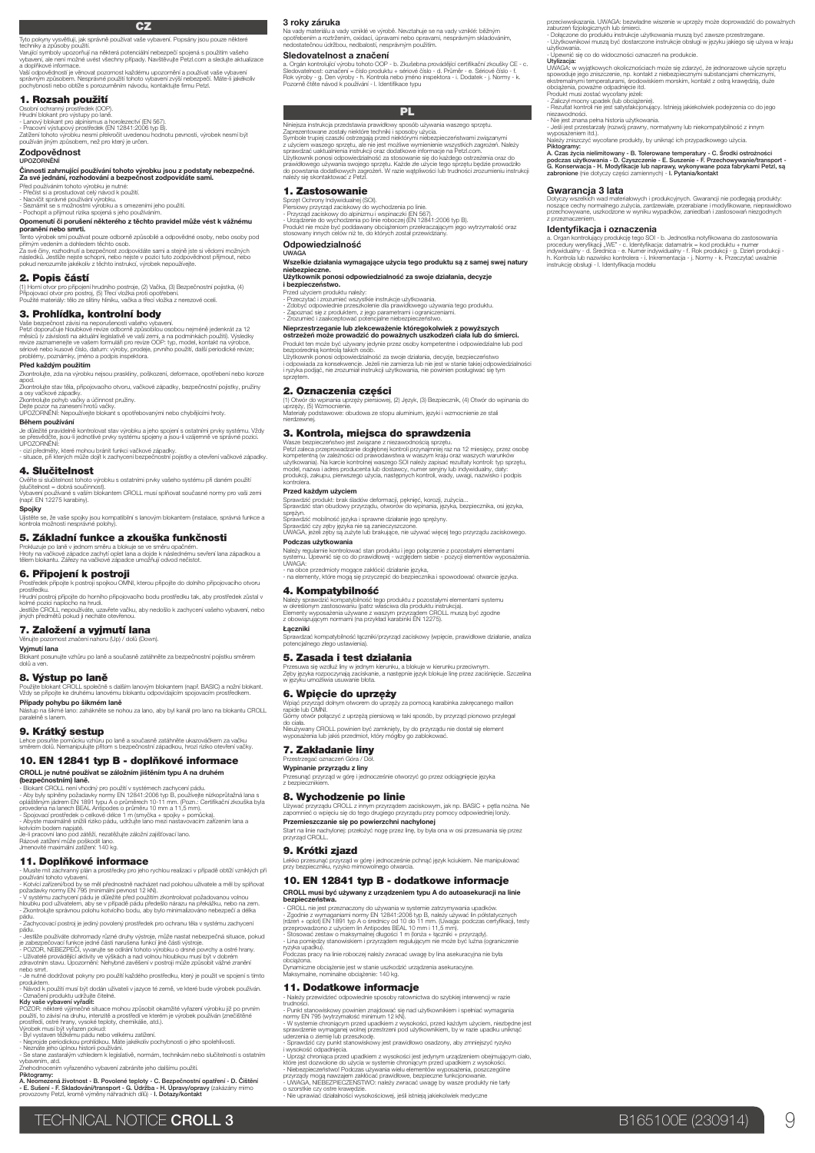### **CZ**

Tyto pokyny vysvětlují, jak správně používat vaše vybavení. Popsány jsou pouze některé<br>techniky a způsoby použití.<br>Varující symboly upozornují na některá potenciální nebezpečí spojená s použítím vašeho<br>vybavení, ale není m

### 1. Rozsah použití

Osobní ochranný prostředek (OOP).<br>- Lanový blokant pro výstupy po laně.<br>- Lanový blokant pro alpinismus a horolezectví (EN 567).<br>Zatření tohoto výrobku nesmí překročit uvedenou hodnotu pevnosti, výrobek nesmí být<br>Zatření j

### Zodpovědnost UPOZORNĚNÍ

## Činnosti zahrnující používání tohoto výrobku jsou z podstaty nebezpečné. Za své jednání, rozhodování a bezpečnost zodpovídáte sami.

Před používáním tohoto výrobku je nutné:<br>- Přečist si a prostudovat celý návod k použití.<br>- Nacvičit správné používání výrobku.<br>- Seznámit se s možnostmi výrobku a s omezeními jeho použití.<br>- Pochopit a přijmout rizika spo

**Opomenutí či porušení některého z těchto pravidel může vést k vážnému<br>poranění nebo smrti.<br>Tento výrobek sní používat pouze odborně způsobilé a odpovědné osoby, nebo osoby pod<br>přímym vedením a dohledem těchto osob.<br>Za své** 

2. Popis částí

(1) Horní otvor pro připojení hrudního postroje, (2) Vačka, (3) Bezpečnostní pojistka, (4)<br>Připojovací otvor pro postroj, (5) Třecí vložka proti opotřebení.<br>Použité materiály: tělo ze slítiny hliníku, vačka a třecí vložka

### 3. Prohlídka, kontrolní body

Vaše bezpečnost závisí na neporušenosti väšeho vybavení.<br>Petzl doporučuje hloubkové revize odborné způsobilou osobou nejméně jedenkrát za 12<br>měsíců (v závislosti na aktuální legislativě ve vaší zemi, a na podmínkách použit

### Před každým použitím

ntrolujte, zda na výrobku nejsou praskliny, poškození, deformace, opotřebení nebo koroze apod. Zkontrolujte stav těla, připojovacího otvoru, vačkové západky, bezpečnostní pojistky, pružiny

a osy vačkové západky.<br>Zkontrolujte pohyb vačky a účinnost pružiny.<br>Dejte pozor na zanesení hrotů vačky.<br>UPOZORNĚNÍ: Nepoužívejte blokant s opotřebovanými nebo chybějícími hroty.

Během používání

Je důležité pravidelně kontrolovat stav výrobku a jeho spojení s ostatními prvky systému. Vždy se přesvědčte, jsou-li jednotlivé prvky systému spojeny a jsou-li vzájemně ve správné pozici. UPOZORNĚNÍ:

- cizí předměty, které mohou bránit funkci vačkové západky. - situace, při kterých může dojít k zachycení bezpečnostní pojistky a otevření vačkové západky.

4. Slučitelnost

Ověřte si slučitelnost tohoto výrobku s ostatními prvky vašeho systému při daném použití (slučitelnost = dobrá součinnost).

Vybavení používané s vaším blokantem CROLL musí splňovat současné normy pro vaši zemi (např. EN 12275 karabiny).

**Spojky**<br>Ujistěte se, že vaše spojky jsou kompatibilní s lanovým blokantem (instalace, správná funkce a<br>kontrola možnosti nesprávné polohy).

### 5. Základní funkce a zkouška funkčnosti

Prokluzuje po laně v jednom směru a blokuje se ve směru opačném.<br>Hroty na vačkové západce zachytí oplet lana a dojde k následnému sevření lana západkou a<br>tělem blokantu. Zářezy na vačkové západce umožňují odvod nečistot.

**6. Připojení k postroji**<br>Prostředek připojte k postroji spojkou OMNI, kterou připojíte do dolního připojovacího otvoru<br>prostředku. Hrudní postroj připojte do horního připojovacího bodu prostředku tak, aby prostředek zůstal v

kolmé pozici naplocho na hrudi.<br>Jestliže CROLL nepoužíváte, uzavřete vačku, aby nedošlo k zachycení vašeho vybavení, nebo<br>jiných předmětů pokud ji necháte otevřenou.

### 7. Založení a vyjmutí lana Věnujte pozornost značení nahoru (Up) / dolů (Down).

Vyjmutí lana

**uti lana**<br>nt posunujte vzhůru po laně a současně zatáhněte za bezpečnostní pojistku si dolů a ven.

### 8. Výstup po laně<br>Použijte blokant CROLL společně<br>Vždy se připoite ke druhému lanov Použijte blokant CROLL společně s dalším lanovým blokantem (např. BASIC) a nožní blokant. Vždy se připojte ke druhému lanovému blokantu odpovídajícím spojovacím prostředkem.

**Případy pohybu po šikmém laně**<br>Nástup na šikmé lano: zahákněte se nohou za lano, aby byl kanál pro lano na blokantu CROLL<br>paralelně s lanem.

9. Krátký sestup

Lehce posuňte pomůcku vzhůru po laně a současně zatáhněte ukazováčkem za vačku směrem dolů. Nemanipulujte přitom s bezpečnostní západkou, hrozí riziko otevření vačky.

# 10. EN 12841 typ B - doplňkové informace

**CROLL je nutné používat se záložním jištěním typu A na druhém<br>(bezpečnostním) laně.<br>- Blokart CROLL není vhodný pro používi v syslémech zachycení pádu.<br>- Aby byly splnány požadavky normy EN 12941:2006 typ B, používejte ní** 

kotvícím bodem napjaté.<br>Je-li pracovní lano pod zátěží, nezatěžujte záložní zajišťovací lano.<br>Rázové zatížení může poškodit lano.<br>Jmenovité maximální zatížení: 140 kg.

11. Doplňkové informace<br>- Musite mít záchranný nlán a prostředky pro jeho problou realizaci v případě obtějí vzniklých při

- Musite mit záchranný plán a prostředky pro jeho rychlou realizaci v případě obtíží vzniklých při<br>používání tohoto vybavení.<br>- Kotvící zařízení/bod by se měl přednostně nacházet nad polohou uživatele a měl by splňovat<br>- V

- Zachycovací postroj je jediný povolený prostředek pro ochranu těla v systému zachycení pádu.

- Jestlíže používáte dohromady různé druhy výstroje, může nastat nebezpečná situace, pokud<br>je zabezpečovací funkce jedné části narušena funkcí jiné části výstroje.<br>- POZOR, NEBEZPEČÍ, vyvarujte se odirání tohoto výrobku o

nebo smrt.<br>- Je nutné dodržovat pokyny pro použití každého prostředku, který je použit ve spojení s tímto<br>- Návod k použití musí být dodán uživateli v jazyce té země, ve které bude výrobek používán.

- Označení produktu udržujte čitelné.<br>**Kdy vaše vybavení vyřadit:**<br>POZOR: některé výjimečné situace mohou způsobit okamžité vyřazení výrobku již po prvním<br>použití, to závisí na druhu, interzitě a prostředí ve kterém je výr

- Byl vystaven těžkému pádu nebo velkému zatížení.<br>- Neprojde periodickou prohildkou. Máte jakékoliv pochybnosti o jeho spolehlivosti.<br>- Neznáte jeho úplnou historii používári.<br>- Se stane zastaralým vzhledem k legislativě,

veznale ,<br>Se stane zasta<br>vbavením, atd. , atu.<br>zením vyřazeného vybavení zabráníte jeho dalšímu použití

Piktogramy:<br>A. Neomezená životnost - B. Povolené teploty - C. Bezpečnostní opatření - D. Čištění<br>- E. Sušení - F. Skladování/transport - G. Údržba - H. Úpravy/opravy (zakázány mimo<br>provozovny Petzi, kromě výměny náhradních

### 3 roky záruka

Na vady materiálu a vady vzniklé ve výrobě. Nevztahuje se na vady vzniklé: běžným<br>opotřebením a roztržením, oxidací, úpravami nebo opravami, nesprávným skladováním,<br>nedostatečnou údržbou, nedbalostí, nesprávným použitím.

### Sledovatelnost a značení

a. Orgán kontrolující výrobu tohoto OOP - b. Zrušebna provádějící certifikační zkoušky CE - c.<br>Sledovatelnost: označení = číslo produktu + sériové číslo - d. Průměr - e. Sériové číslo - f.<br>Rok výroby - g. Den výroby - h. K

przeciwwskazania. UWAGA: bezwładne wiszenie w uprzęży może doprowadzić do poważnych<br>zaburzeń fizjologicznych lub śmierci.<br>- Dołączone do produktu instrukcje użytkowania muszą być zawsze przestrzegane.<br>- Użytkowanika.<br>użytk

- Upewnić się co do widoczności oznaczeń na produkcie.<br>Utylizacja: w wyjątkowych okolicznościał może się zdarzyć, że jednorazowe użycie sprzętu<br>spowoduje jego zniszczenie, np. kontiskt z niebezpiecznymi substancjami chemic

A. Czas życia nielimitowany - B. Tolerowane temperatury - C. Srodki ostrożności<br>podczas użytkowania - D. Czyszczenie - E. Suszenie - F. Przechowywanie/transport -<br>G. Konserwacja - H. Modylfikacje lub naprawy, wykonywane po

Dotyczy wszelkich wad materiałowych i produkcyjnych. Gwarancji nie podlegają produkty:<br>noszące cechy normalnego zużycia, zardzewiale, przerabiane i modyfikowane, nieprawidłowo<br>przeznaczeniem.<br>z przeznaczeniem.

**Identy/fikacija i oznacozenia**<br>a. Organ kontrolujący produkcje tego SOI - b. Jednostka notyfikowana do zastosowania<br>procedury weryfikacji "WE" - o. Identyfikacja: datamatrix = lod produkcji - u numer<br>indywidualny - d. Sre

- Inczarocorosoc.<br>- Nie jest znana pełna historia użytkowania.<br>- Jeśli jest przestarzały (rozwój prawny, normatywny lub niekompatybilność z innym<br>wynoseżeniem itd.) wyposażeniem itd.).<br>Należy zniszczyć wycofane produkty, by uniknąć ich przypadkowego użycia.<br>**Piktogramy:** 

Gwarancja 3 lata

**PLAN STATE STATE STATE STATE** 

Niniejsza instrukcja przedstawia prawidłowy sposób używania waszego sprzętu.<br>Zaprezentowane zostały niektóre techniki i sposoby użycia.<br>Symbole tupiej czaszki ostrzegają przed niektórymi niebezpieczentstwami związanymi<br>z u prawidłowego używania swojeg<br>do powstania dodatkowych zag<br>należy się skontaktować z Petzl.

1. Zastosowanie

Sprzęt Ochrony Indywidualnej (SOI).<br>- Przyrząd zaciskowy do alpinizmu i wspinaczki (EN 567).<br>- Przyrząd zaciskowy do alpinizmu i wspinaczki (EN 12841:2006 typ B).<br>- Urządzenie do wychodzenia po linie roboczej (EN 12841:200 Odpowiedzialność

UWAGA Wszelkie działania wymagające użycia tego produktu są z samej swej natury

# niebezpieczne. Użytkownik ponosi odpowiedzialność za swoje działania, decyzje i bezpieczeństwo.

Przed użyciem produktu należy;<br>- Przeczytać i zrozumieć wszystkie instrukcje użytkowania.<br>- Zdobyć odpowiednie przeszkolenie dla prawidlowego używania tego produktu.<br>- Zapoznać się z produktem, z jego parametrami i ogranic

# Nieprzestrzeganie lub zlekceważenie któregokolwiek z powyższych ostrzeżeń może prowadzić do poważnych uszkodzeń ciała lub do śmierci.

Produkt ten może być używany jedynie przez osoby kompetentne i odpowiedzialne lub pod<br>Użytkownik ponosi odpowiedzialność za swoje działania, decyzje, bezpieczeństwo<br>Użytkownik ponosi odpowiedzialność za swoje działania, de

2. Oznaczenia części<br>(1) Otwór do wpinania uprzęży piersiowej, (2) Język, (3) Bezpiecznik, (4) Otwór do wpinania do (1) Otwór do wpinania uprzęży piersiowej, (2) Język, (3) Bezpiecznik, (4) Otwór do wpinania do<br>Materiały podstawowe: obudowa ze stopu aluminium, języki i wzmocnienie ze stali<br>hierdzewnej.

### 3. Kontrola, miejsca do sprawdzenia

Wasze bezpieczeństwo jest związane z niezawodnością sprzętu.<br>Petzl zaleca przeprowadzanie doglębnej kontroli przynajmniej raz na 12 miesięcy, przez osobę<br>kompetentną (w zależności od prawodawstwa w waszym kraju oraz waszyc użyłkowania). Na karcie kontrolnej waszego SOI należy zapisać rezultaty kontroli: typ sprzętu,<br>model, nazwa i adres producenta lub dostawcy, numer seryjny lub indywidualny, daty:<br>produkcji, zakupu, pierwszego użycia, nastę

Przed każdym użyciem

Sprawdzić produkt: brak śladów deformacji, pęknięć, korozji, zużycia... Sprawdzić stan obudowy przyrządu, otworów do wpinania, języka, bezpiecznika, osi języka,

spreżyn.<br>Sprawdzić mobilność języka i sprawne działanie jego sprężyny.<br>UWAGA, jeżeli zęby języka nie są zanieczyszczone.<br>UWAGA, jeżeli zęby są zużyte lub brakujące, nie używać więcej tego przyrządu zaciskowego.

**Podczas użytkowania**<br>Należy regularnie kontrolować stan produktu i jego połączenie z pozostałymi elementami<br>systemu. Upewnić się co do prawidłowej - względem siebie - pozycji elementów wyposażenia.<br>UWAGA:

- na obce przedmioty mogące zakłócić działanie języka, - na elementy, które mogą się przyczepić do bezpiecznika i spowodować otwarcie języka.

### 4. Kompatybilność

Należy sprawdzić kompatybilność tego produktu z pozostałymi elementami systemu<br>w określonym zastosowaniu (patrz właściwa dla produktu instrukcja).<br>Elementy wyposażenia używane z waszym przyrządem CROLL muszą być zgodne<br>z o

Łączniki

Sprawdzać kompatybilność łączniki/przyrząd zaciskowy (wpięcie, prawidłowe działanie, analiza potencjalnego złego ustawienia).

### 5. Zasada i test działania

6. Wpięcie do uprzęży

.<br>Npiąć przyrząd dolnym otworem do up<br>rapide lub OMNI.

7. Zakładanie liny Przestrzegać oznaczeń Góra / Dół. Wypinanie przyrządu z liny

8. Wychodzenie po linie

przy bezpieczniku, ryzyko mimowolnego otwarcia.<br>Przy bezpieczniku, ryzyko mimowolnego o

z bezpiecznikiem.

Start na linie nachylonej: pr<br>przyrząd CROLL. 9. Krótki zjazd

Przesuwa się wzdłuż liny w jednym kierunku, a blokuje w kierunku przeciwnym.<br>Zęby języka rozpoczynają zaciskanie, a następnie język blokuje linę przez zaciśnięcie. Szczelina<br>w języku umożliwia usuwanie błota.

Górny otwór połączyć z uprzężą piersiową w taki sposób, by przyrząd pionowo przylegał do ciała. Nieużywany CROLL powinien być zamknięty, by do przyrządu nie dostał się element wyposażenia lub jakiś przedmiot, który mógłby go zablokować.

Przesunąć przyrząd w górę i jednocześnie otworzyć go przez odciągnięcie języka

10. EN 12841 typ B - dodatkowe informacje CROLL musi być używany z urządzeniem typu A do autoasekuracji na linie

Podczas pracy na linie roboczej należy zwracać uwagę by lina asekuracyjna nie była obciążona. Dynamiczne obciążenie jest w stanie uszkodzić urządzenia asekuracyjne. Maksymalne, nominalne obciążenie: 140 kg.

11. Dodatkowe informacje<br>- Należy przewidzieć odpowiednie sposoby ratownictwa do szybkiej interwencji w razie

- Należy przewidzieć odpowiednie sposoby ratownictwa do szybkiej interwencji w razie<br>Fudiności.<br>- Punkt stanowiskowy powinien znajdować się nad użytkownikiem i spełniać wymagania<br>normy EN 795 (wytrzymałość minirum 12 kN).<br>

- Uprząż chroniąca przed upadkiem z wysokości jest jedynym urządzeniem obejmującym ciało,<br>które jest dozwolone do użycia w systemie chroniącym przed upadkiem z wysokości.<br>- Niebezpieczeństwo! Podczas używania wielu element

**bezpieczeństwa.**<br>CAOL (nie jest przeznaczony do używania w systemie zatrzymywania upadków.<br>- Zpódnie z wymaganiami normy EN 12641:2006 typ B, należy używać lin pólstatycznych<br>(rdzeń + oplot) EN 1891 typ A o średnicy od 10

Używać przyrządu CROLL z innym przyrządem zaciskowym, jak np. BASIC + pętla nożna. Nie zapomnieć o wpięciu się do tego drugiego przyrządu przy pomocy odpowiedniej lonży. Przemieszczanie się po powierzchni nachylonej<br>Start na linie nachylonej: przełożyć nogę przez linę, by była ona w osi przesuwania się przez

**Py**<br>zęży za pomocą karabinka zakręcanego i

.<br>22eśnie pchnąć język kciukiem. Nie manipulo

TECHNICAL NOTICE CROLL 3 B165100E (230914) 9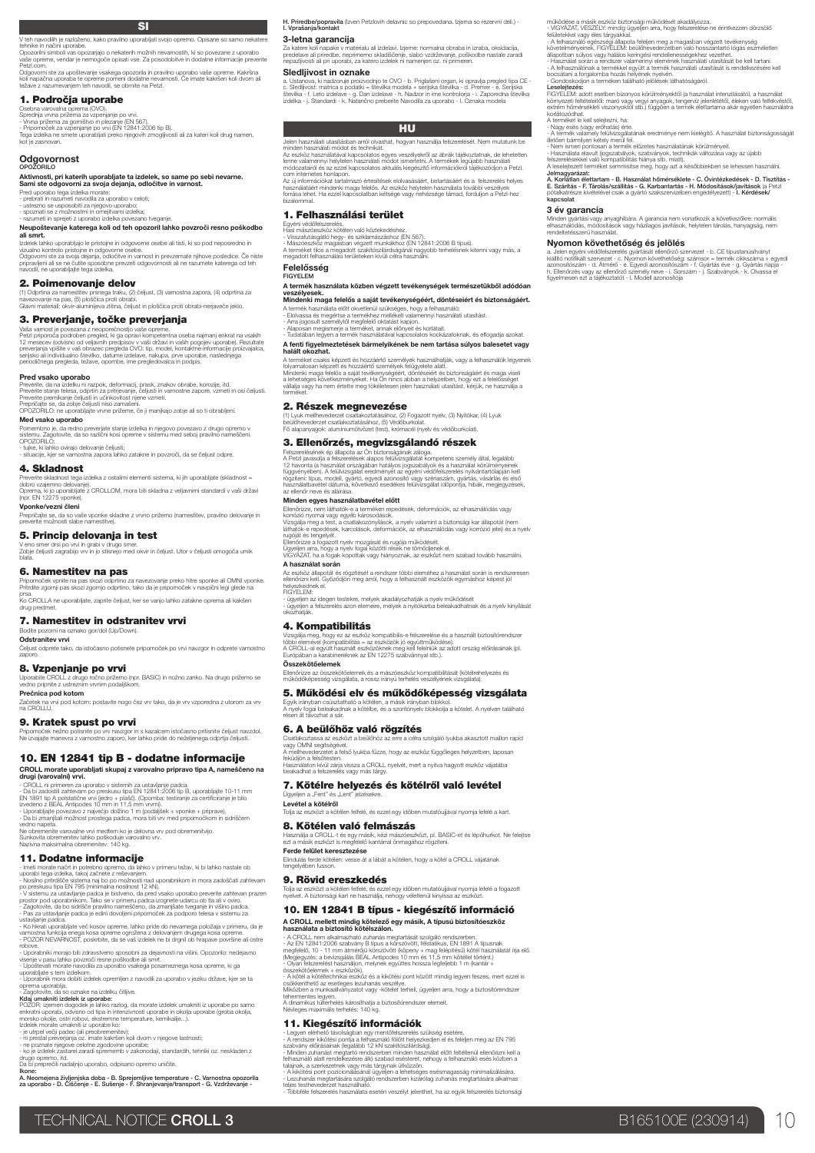V teh navodilih je razloženo, kako pravilno uporabljati svojo opremo. Opisane so samo nekatere tehnike in načini uporabe. Opozorilni simboli vas opozarjajo o nekaterih možnih nevarnostih, ki so povezane z uporabo vaše opreme.<br>Ini simboli vas opozarjajo o nekaterih možnih nevarnostih, ki so povezane z upora<br>reme, vendar je nemogoče opisati vse. Za posodobitve in dodatne informacije pr

Opozoriin<br>vaše opre<br>Petzl.com<br>Odgovorr<br>koli nanač Odgovorni ste za upoštevanje vsakega opozorila in pravilno uporabo vaše opreme. Kakršna<br>koli napačna uporaba te opreme pomeni dodatne nevarnosti. Če imate kakršen koli dvom ali<br>težave z razumevanjem teh navodil, se obrnite

### 1. Področja uporabe

Osebna varovalna oprema (OVO).<br>Sprednja vrvna prižema za vzpenjanje po vrvi.<br>- Vrvna prižema za gorništvo in plezanje (EN 567).<br>Tega izdelka ne smete uporabljati preko njegovih zmogljivosti ali za kateri koli drug namen,<br>K

### Odgovornost

# OPOŽORILO<br>**Aktivnosti, pri katerih uporabljate ta izdelek, so same po sebi nevarne.<br><b>Sami ste odgovorni za svoja dejanja, odločitve in varnost.**<br>Pred uporabo tega izdelka morate:<br>- prebrati in razume! navodla za uporabo v

spoznati se z možnostmi in omejitvami izdelka;<br>razumeti in sprejeti z uporabo izdelka povezano tv

# - razumeti in sprejeti z uporabo izdelka povezano tveganje. Neupoštevanje katerega koli od teh opozoril lahko povzroči resno poškodbo ali smrt.

Izdelek lahko uporabljajo le pristojne in odgovorne osebe ali tisti, ki so pod neposredno in

vizualno kontrolo pristojne in odgovorne osebe.<br>Odgovorni ste za svoja dejanja, odločitve in varnost in prevzemate njihove posledice. Če niste<br>pripravljeni ali se ne čutite sposobne prevzeti odgovornosti ali ne razumete ka

### 2. Poimenovanje delov

(1) Odprtina za namestitev prsnega traku, (2) čeljust, (3) varnostna zapora, (4) odprtina za<br>navezovanje na pas, (5) ploščica proti obrabi.<br>Glavni materiali: okvir-aluminijeva zlitina, čeljust in ploščica proti obrabi-nerj

### 3. Preverjanje, točke preverjanja

Vaša varnost je povezana z neoporečnostjo vaše opreme.<br>Petzi priporoča podroben pregled, ki ga opravi kompetentna oseba najmanj enkrat na vsakih 12 mesecev (odvisno od veljavnih predpisov v vaši držav i predpisov predpisov

### Pred vsako uporabo

Preverite, da na izdelku ni razpok, deformacji, prask, znakov obrabe, korozije, itd.<br>Preverite stanje telesa, odprtin za prifrjevanje, čeljusti in varnostne zapore, vzmeti in osi čeljusti.<br>Preverite premikanje čeljusti in

**Med vsako uporabo**<br>Pomembno je, da redno preverjate stanje izdelka in njegovo povezavo z drugo opremo v<br>sistemu. Zagotovite, da so različni kosi opreme v sistemu med seboj pravilno nameščeni.<br>OPOZORILO:

- tujke, ki lahko ovirajo delovanje čeljusti; - situacije, kjer se varnostna zapora lahko zatakne in povzroči, da se čeljust odpre.

### 4. Skladnost

Preverite skladnost tega izdelka z ostalimi elementi sistema, ki jih uporabljate (skladnost =<br>dobro vzajemno delovanje).<br>Oprema, ki jo uporabljate z CROLLOM, mora biti skladna z veljavnimi standardi v vaši državi<br>(npr. EN

**Vponke/vezni členi**<br>Prepričajte se, da so vaše vponke skladne z vrvno prižemo (namestitev, pravilno delovanje in<br>preverite možnosti slabe namestitve).

### 5. Princip delovanja in test

V eno smer drsi po vrvi in grabi v drugo smer. Zobje čeljusti zagrabijo vrv in jo stisnejo med okvir in čeljust. Utor v čeljusti omogoča umik blata

### 6. Namestitev na pas

Pripomoček vpnite na pas skozi odprtino za navezovanje preko hitre sponke ali OMNI vponke. Pritrdite zgornji pas skozi zgornjo odprtino, tako da je pripomoček v navpični legi glede na prsa. Ko CROLLA ne uporabljate, zaprite čeljust, ker se vanjo lahko zatakne oprema ali kakšen

### 7. Namestitev in odstranitev vrvi

Bodite pozorni na oznako gor/dol (Up/Down). Odstranitev vrvi

### Čeljust odprete tako, da istočasno potisnete pripomoček po vrvi navzgor in odprete varnostno

drug predmet.

zaporo.

8. Vzpenjanje po vrvi<br>Uporabite CROLL z drugo ročno prižemo (npr. BASIC) in nožno zanko. Na drugo prižemo se<br>vedno pripnite z ustreznim vrvnim podaljškom. **Prečnica pod kotom**<br>Začetek na vrvi pod kotom: postavite nogo čez vrv tako, da je vrv vzporedna z utorom za vrv<br>na CROLLU.

9. Kratek spust po vrvi

Pripomoček nežno potisnite po vrv navzgor in s kazalcem istočasno pritisnite čeljust navzdol. Ne izvajajte manevra z varnostno zaporo, ker lahko pride do neželjenega odprtja čeljusti.

### 10. EN 12841 tip B - dodatne informacije

CROLL morate uporabljati skupaj z varovalno pripravo tipa A, nameščeno na drugi (varovalni) vrvi.

- CROLL ni primera za uporabo v sistemih za ustavljanje padca.<br>- Da bi zadostili zahtevam po preskusu tipa EN 12841:2006 tip B, uporabljajte 10-11 mm<br>EN 1891 tip A polstatične vrvi (jedro + plašč), (Opomba: testiranje za c

Ne obremenite varovalne vrvi medtem ko je delovna vrv pod obremenitvijo.<br>Sunkovita obremenitev lahko poškoduje varovalno vrv.<br>Nazivna maksimalna obremenitev: 140 kg.

**11. Dodatne in**for**macije**<br>
l'ineui morate načni in potrebno operno, da lahko v primeru težav, ki bi lahko nastale ob<br>
uporabi tega izdelka, takoj začnete z reševanjem.<br>
- Nosiho primetske slatema ingi bo po možnosti nad

ustavijanje pacica.<br>- Ko hkrati uporabljate več kosov opreme, lahko pride do nevarnega položaja v primeru, da je<br>varnostna funkcija enega kosa opreme ogrožena z delovanjem drugega kosa opreme.<br>- POZOR NEVARNOST, poskrbite,

robove.<br>• Uporabniki morajo biti zdravstveno sposobni za dejavnosti na višini. Opozorilo: nedejavno<br>visenje v pasu lahko povzroči resne poškodbe ali smrt.<br>• Upoštevati morate navodila za uporabo vsakega posameznega kosa op

- Zagotovie, da so oznake na izdeku čitljive.<br>Kdaj umakniti izdelek iz uporabe:<br>POZOR: izjemen dogodek je lahko razlog, da morate izdelek umakniti iz uporabe po samo<br>enkratni uporabi, odvisno od tipa in intenzivnosti upora

drugo opremo, itd. Da bi preprečili nadaljnjo uporabo, odpisano opremo uničite.

Ikone: A. Neomejena življenjska doba - B. Sprejemljive temperature - C. Varnostna opozorila za uporabo - D. Čiščenje - E. Sušenje - F. Shranjevanje/transport - G. Vzdrževanje -

**H. Priredbe/popravila** (Izven Petzlovih delavnic so prepovedana. Izjema so rezervni deli.) -<br>**I. Vprašanja/kontakt** 

### 3-letna garancija

Za katere koli napake v materialu ali izdelavi. Izjeme: normalna obraba in izraba, oksidacija,<br>predelave ali priredbe, neprimemo skladiščenje, slabo vzdrževanje, poškodbe nastale zaradi<br>nepazijivosti ali pri uporabi, za ka

működése a másik eszköz biztonsági működését akadályozza.<br>– ViGYAZAT, VESZÉLY: mindig ügyeljen arra, hogy felszerelése ne érintkezzen dőrzsölő<br>– felületekévi vagy éles tárgyakkal.<br>– A felhasználó egészségi állapota felelje

**Leselejtezés:**<br>FiGYELEM: adott esetben bizonyos körülményektől (a használat intenzitásától, a használat<br>környezeti feltételeitő: maró vagy vegyi anyagok, tengervíz jelenlététől, éleken való felfekvéstől,<br>extrém hőmérsékle

- A termék valamely felülvözgalatárak eredménye nem kielégítő. A használat biztonságosságát<br>- Nem ismeri pontosan a termék előzetes használatának körülményeit.<br>- Nem ismeri pontosan a termék előzetes használatának körülmén

Jelmagyarázat:<br>A. Korlátlan élettartam - B. Használat hőmérséklete - C. Óvintézkedések - D. Tisztítás -<br>E. Szárítás - F. Tárolás/szállítás - G. Karbantartás - H. Módosítások/javítások (a Petzl<br>pólakatrésze kivételével csak

Minden gyártási vagy anyaghibára. A garancia nem vonatkozik a következőkre: normális elhasználódás, módosítások vagy házilagos javítások, helytelen tárolás, hanyagság, nem rendeltetésszerű használat.

a. Jelen egyéni védőfelszerelés gyártását ellenőző szervezet - b. CE típustanúsítványt<br>káliltó notilkált szervezet - c. Nyomon kövelteleőség; számsor = termék cikkszzáma + egyedi<br>azonosítószám - d. Atmérő - e. Egyedi azono

bocsátani a forgalomba hozás helyének nyelvén. - Gondoskodjon a terméken található jelölések láthatóságáról.

Nyomon követhetőség és jelölés

A terméket le kell selejtezni, ha: - Nagy esés (vagy erőhatás) érte.

3 év garancia

### Sledljivost in oznake

a. Ustanova, ki nadzoruje proizvodnjo te OVO - b. Priglašeni organ, ki opravlja pregled tipa CE -<br>c. Sledljivost: matrica s podatki = števlika modela + serijska številka - d. Premer - e. Serijska<br>števlika - j. Standardi -

### **HU**

Jelen használati utasításban arról olvashat, hogyan használja felszerelését. Nem mutatunk be minden használati módot és technikát.

Az eszköz használatával kapcsolatos egyes veszélyelről az ábrák tájékoztatnak, de lehetetlen<br>lenne valamennyi helytelen használati módot ismertetni. A termékek legújabb használati<br>módozatairól és az ezzel kapcsolatos aktuá

Az új információkat tartalmazó értesítések elolvasásáért, betartásáért és a felszerelés helyes<br>használatáért mindenki maga felelős. Az eszköz helytelen használata további veszélyek<br>forzása lehet. Ha ezzel kapcsolatban kéts

### 1. Felhasználási terület

# Egyéni vétőfőlezerelés.<br>– Visszafutásgátló hegy- és sziklamászáshoz (EN 567).<br>– Visszafutásgátló hegy- és sziklamászáshoz (EN 16241:2006 B típus).<br>– Mászóeszköz magasban végzett munkákhoz (EN 12841:2006 B típus).<br>A teméket Felelősség

### FIGYELEM

A termék használata közben végzett tevékenységek természetükből adódóan veszélyesek. Mindenki maga felelős a saját tevékenységéért, döntéseiért és biztonságáért.

- A temék használata előtt okvetlenül szükséges, hogy a felhasználó:<br>- Elokassa és megértse a termékhez mellékelt valamennyi használati utasítást.<br>- Arra jogosult személytől megfelelő oktatást kapjon.<br>- Audatában legyen a te
- 

# A fenti figyelmeztetések bármelyikének be nem tartása súlyos balesetet vagy halált okozhat.

A teméket csakis képzett és hozzáértő személyek használhatják, vagy a felhasználók legyenek<br>folyamatosan képzett és hozzáértő személyek felügyelete latit.<br>Mindenki maga felelős a saját tevékenységéért, döntéseiért és bizto

### 2. Részek megnevezése

(1) Lyuk mellhevederzet csatlakoztatásához, (2) Fogazott nyelv, (3) Nyitókar, (4) Lyuk beülőhevederzet csatlakoztatásához, (5) Védőburkolat. Fő alapanyagok: alumíniumötvözet (test), krómacél (nyelv és védőburkolat).

3. Ellenőrzés, megvizsgálandó részek

Felszerelésének ép állapota az On biztonságának záloga.<br>A Petzl javasolja a felszerelések alapos felülvizsgálatát kompetens személy által, legalább<br>12 havonta (a használat országálan hatályos jogszabályok és a használat kö Minden egyes használatbavétel előtt

Ellenőrizze, nem láthatók-e a terméken repedések, deformációk, az elhasználódás vagy<br>Vorszáló nyomai vagy egyéb károsodások,<br>Vizsajálja meg a test, a csatlakozónyilások, a nyelv valamint a biztonsági kar állapotát (nem<br>lát

rugóját és tengelyét.<br>Ellenőrizze a fogazott nyelv mozgását és rugója működését.<br>Úgyeljen arra, hogy a nyelv fogai közötti rések ne tömődjenek el.<br>ViGYÁZAT, ha a fogak kopottak vagy hiányoznak, az eszközt nem szabad tovább

A használat során

Az eszköz állapotát és rögzítését a rendszer többi eleméhez a használat során is rendszeresen<br>ellenőrizni kell. Győződjön meg arról, hogy a felhasznált eszközök egymáshoz képest jól<br>helyezkednek el. helyezkedn<br>FIGYELEM:

- ügyeljen az idegen testekre, melyek akadályozhatják a nyelv működését - ügyeljen a felszerelés azon elemeire, melyek a nyitókarba beleakadhatnak és a nyelv kinyílását okozhatják.

### 4. Kompatibilitás

beakadhat a felszerelés vagy más tárgy.

Ügyeljen a "Fent" és "Lent" jelzésekre.<br>**Levétel a kötélről** 

Ferde felület keresztezése

9. Rövid ereszkedés

8. Kötélen való felmászás

Vizsgálja meg, hogy ez az eszköz kompatibilis-e felszerelése és a használt biztosítórendszer<br>többi elemével (kompatibilitás = az eszközök jó együttműködése).<br>A CROLL-al együtt használt eszközöknek meg kell felelnük az adot Összekötőelemek

Ellenőrizze az összekötőelemek és a mászóeszköz kompatibilitását (kötélrehelyezés és működőképesség vizsgálata, a rossz irányú terhelés veszélyének vizsgálata). 5. Működési elv és működőképesség vizsgálata Egyik irányban csúsztatható a kötélen, a másik irányban blokkol. A nyelv fogai beleakadnak a kötélbe, és a szorítónyelv blokkolja a kötelet. A nyelven található résen át távozhat a sár. 6. A beülőhöz való rögzítés<br>Csatlakoztassa az eszközt a beülőhöz az erre a célra szolgáló lyukba akasztott maillon rapid Csatlakoztassa az eszközt a beülőhöz az erre a célra szolgáló lyukba akasztott maillon rapid vagy OMNI segítségével. A mellhevederzetet a felső lyukba fűzze, hogy az eszköz függőleges helyzetben, laposan feküdjön a felsőtesten. Használaton kívül zárja vissza a CROLL nyelvét, mert a nyitva hagyott eszköz vájatába

7. Kötélre helyezés és kötélről való levétel

Elindulás ferde kötélen: vesse át a lábát a kötélen, hogy a kötél a CROLL vájatának tengelyében fusson.

Tolja az eszközt a kötélen felfelé, és ezzel egy időben mutatóujjával nyomja lefelé a kart.

Használja a CROLL-t és egy másik, kézi mászóeszközt, pl. BASIC-et és lépőhurkot. Ne felejtse ezt a másik eszközt is megfelelő kantárral önmagához rögzíteni.

Tolja az eszközt a kötélen felfelé, és ezzel egy időben mutatóujjával nyomja lefelé a fogazott nyelvet. A biztonsági kart ne használja, nehogy véletlenül kinyissa az eszközt. 10. EN 12841 B típus - kiegészítő információ

A CROLL mellett mindig kötelező egy másik, A típusú biztosítóeszköz<br>A CROLL nem alkalmazható vármas megtarását szolgáló rendszerben.<br>- Az CROLL nem alkalmazható zuhanás megtarását szolgáló rendszerben.<br>- Az CROLL nem almar

- A kötél a kötéltechnikai eszköz és a kikötési pont között mindig legyen feszes, mert ezzel is<br>csökkenthető az esetleges lezuhanás veszélye.<br>Miközben a munkaállványzatot vagy -kötelet terheli, ügyeljen arra, hogy a biztos

- Legyen elérhető távolságban egy mentőfelszerelés szűkség esetére.<br>- A rendszer kikőtési pontja a felhasználó fölött helyezkeden el és felejen meg az EN 795<br>- zabvány előírásainak (legalább 12 kN szakítószlárdság).<br>- Mind

talajnak, a szerkezetnek vagy más tárgynak ütközzön,<br>- A kikötési pont pozicionálásánái ügyeljen a lehetséges esésmagasság minimalizálására.<br>t-Lezuhanás megtartására szolgáló rendszerben kizárólag zuhanás megtartására alka

tehermentes legyen. A dinamikus túlterhelés károsíthatja a biztosítórendszer elemeit. Névleges maximális terhelés: 140 kg. 11. Kiegészítő információk

**TECHNICAL NOTICE CROLL 3** B165100E (230914) 10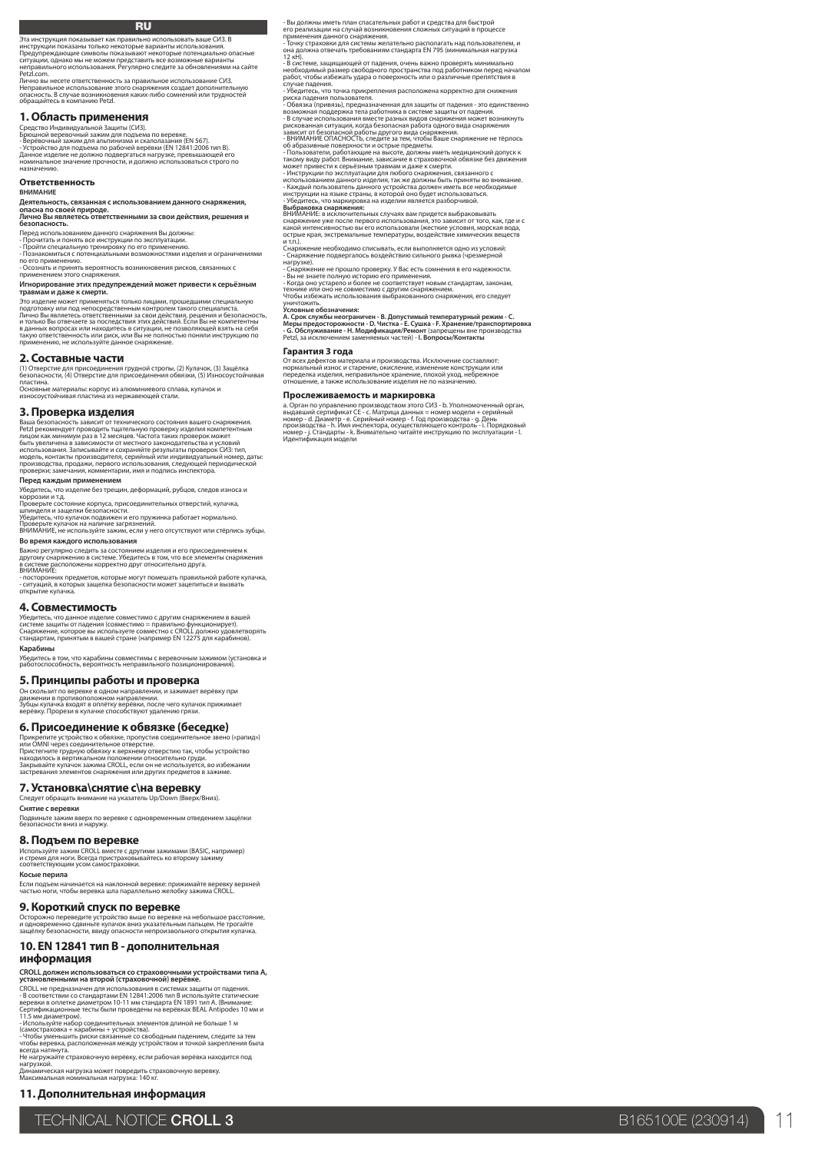### RU

Эта инструкция показывает как правильно использовать ваше СИЗ. В

инструкции показаны только некоторые варианты использования.<br>Предупреждающие символы показывают некоторые потенциально опасные<br>ситуации, однако мы не можем представить все возможные варианты<br>неправильного использования. Р Petzl.com.

Лично вы несете ответственность за правильное использование СИЗ.<br>Неправильное использование этого снаряжения создает дополнительную<br>опасность. В случае возникновения каких-либо сомнений или трудностей<br>обращайтесь в компан

### **1. Область применения**

Средство Индивидуальной Защиты (СИЗ).<br>Брюшной веревочный зажим для подъема по веревке.<br>- Устройство для подъема по рабочей верёвки (ЕМ 12841:2006 тип B).<br>- Устройство для подъема по рабочей верёвки (ЕМ 12841:2006 тип B).<br>

### **Ответственность**

### **ВНИМАНИЕ**

**безопасность.**

Деятельность, связанная с использованием данного снаряжения,<br>опасна по своей природе.<br>Лично Вы являетесь ответственными за свои действия, решения и

Перед использованием данного снаряжения Вы должны: - Прочитать и понять все инструкции по эксплуатации. - Пройти специальную тренировку по его применению.

- Познакомиться с потенциальными возможностями изделия и ограничениями<br>по его применению.<br>- Осознать и принять вероятность возникновения рисков, связанных с<br>применением этого снаряжения.

**Игнорирование этих предупреждений может привести к серьёзным травмам и даже к смерти.** Это изделие может применяться только лицами, прошедшими специальную

подготовку или под непосредственным контролем такого специалиста.<br>И только Вы отвечаете за последствия этих действия, решения и безопасность,<br>и только Вы отвечаете за последствия этих действий. Если Вы не компетентны<br>в да

### **2. Составные части**

(1) Отверстие для присоединения грудной стропы, (2) Кулачок, (3) Защёлка безопасности, (4) Отверстие для присоединения обвязки, (5) Износоустойчивая пластина.

Основные материалы: корпус из алюминиевого сплава, кулачок и износоустойчивая пластина из нержавеющей стали.

### **3. Проверка изделия**

Ваша безопасность зависит от технического состояния вашего снаряжения.<br>Petzl рекомендует проводить тщательную проверку изделия компетентным<br>лицом как минимум раз в 12 месяцев. Частота таких проверок может<br>быть увеличена в

**Перед каждым применением<br>Убедитесь, что изделие без трешин, деформаций, рубцов, следов износа и** 

Убедитесь, что изделие без трещин, деформаций, рубцов, следов износа и<br>Коррозии и т.д.<br>Проверьте состояние корпуса, присоединительных отверстий, кулачка,<br>шпинделя и защелки безопасности.<br>Проверьте кулачок на наличие загря

**Во время каждого использования**

Важно регулярно следить за состоянием изделия и его присоединением к<br>другому снаряжению в системе. Убедитесь в том, что все элементы снаряжения<br>в системе расположены корректно друг относительно друга.

ВНИМАНИЕ: - посторонних предметов, которые могут помешать правильной работе кулачка, - ситуаций, в которых защелка безопасности может зацепиться и вызвать открытие кулачка.

### **4. Совместимость**

Убедитесь, что данное изделие совместимо с другим снаряжением в вашей<br>системе защиты от падения (совместимо = правильно функционирует).<br>Снаряжение, которое вы используете совместно с CROLL должно удовлетворять<br>стандартам, **Карабины**

Убедитесь в том, что карабины совместимы с веревочным зажимом (установка и работоспособность, вероятность неправильного позиционирования).

# **5. Принципы работы и проверка**<br>Он скользит по веревке в одном направлении, и зажимает верёвку при

Он скользит по веревке в одном направлении, и зажимает верёвку при движении в противоположном направлении. Зубцы кулачка входят в оплётку верёвки, после чего кулачок прижимает верёвку. Прорези в кулачке способствуют удалению грязи.

**6. Присоединение к обвязке (беседке)**

Прикрепите устройство к обвязке, пропустив соединительное звено («рапид»)<br>Иристените грудную обвязку к верхнему отверстие.<br>Пристените грудную обвязку к верхнему отверстию так, чтобы устройство<br>находилось в вертикальном по

### **7. Установка\снятие с\на веревку**

Следует обращать внимание на указатель Up/Down (Ввер:

**Снятие с веревки**

Подвиньте зажим вверх по веревке с одновременным отведением защёлки безопасности вниз и наружу.

### **8. Подъем по веревке**

Используйте зажим CROLL вместе с другими зажимами (BASIC, например)<br>и стремя для ноги. Всегда пристраховывайтесь ко второму зажиму<br>соответствующим усом самостраховки.

**Косые перила**

Если подъем начинается на наклонной веревке: прижимайте веревку верхней частью ноги, чтобы веревка шла параллельно желобку зажима CROLL.

### **9. Короткий спуск по веревке**

Осторожно переведите устройство выше по веревке на небольшое расстояние,<br>и одновременно сдвиньте кулачок вниз указательным пальцем. Не трогайте<br>защёлку безопасности, ввиду опасности непроизвольного открытия кулачка.

### **10. EN 12841 тип В - дополнительная информация**

**CROLL должен использоваться со страховочными устройствами типа A,**<br>**установленными на второй (страховочной) верёвке.**<br>- В Соответствии со стандартами EN 12841:2006 тип В используйте статические<br>- В соответствии со станда

- Используйте набор соединительных элементов длиной не больше 1 м<br>(самостраховка + карабины + устройства),<br>- Чтобы уменьшить риски связанные со свободным падением, следите за тем<br>чтобы веревка, расположенная между устройс

Дина́мическая нагрузка может повредить страховочную веревку.<br>Максимальная номинальная нагрузка: 140 кг.

**11. Дополнительная информация**

- Вы должны иметь план спасательных работ и средства для быстрой<br>его реализации на случай возникновения сложных ситуаций в процессе<br>применения данного снаряжения.<br>она должна отвечать требованиям стандарта EN 795 (минималь

12 кН). - В системе, защищающей от падения, очень важно проверять минимально необходимый размер свободного пространства под работником перед началом<br>работ, чтобы избежать удара о поверхность или о различные препятствия в<br>случае падения.

- Убедитесь, что точка прикрепления расположена корректно для снижения<br>- Росдитесь, что точка прикрепления расположена корректно для снижения<br>- Обвязка (привязь), предназначенная для защиты от падения.<br>- В случае использо

нагрузке).<br>- Снаряжение не прошло проверку. У Вас есть сомнения в его надежности.<br>- Вы не знаете полную историю его применения.<br>- Когда оно устарело и более не соответствует новым стандартам, законам,<br>- Ктобы избежать исп

### уничтожить. **Условные обозначения:**

А. Срок службы неограничен - В. Допустимый температурный режим - С.<br>Меры предосторожности - D. Чистка - Е. Сушка - F. Хранение/транспортировка<br>- G. Обслуживание - Н. Модификация/Ремонт (запросы/Контакты<br>Petzl, за исключен

### **Гарантия 3 года**

От всех дефектов материала и производства. Исключение составляют:<br>нормальный износ и старение, окисление, изменение конструкции или<br>переделка изделия, неправильное хранение, плохой уход, небрежное<br>отношение, а также испол

### **Прослеживаемость и маркировка**

а. Орган по управлению производством этого СИЗ - b. Уполномоченный орган,<br>выдавший сертификат СЕ - с. Матрица данных = номер модели + серийный<br>номер - d. Диаметр - е. Серийный номер - f. Год производства - g. День<br>произво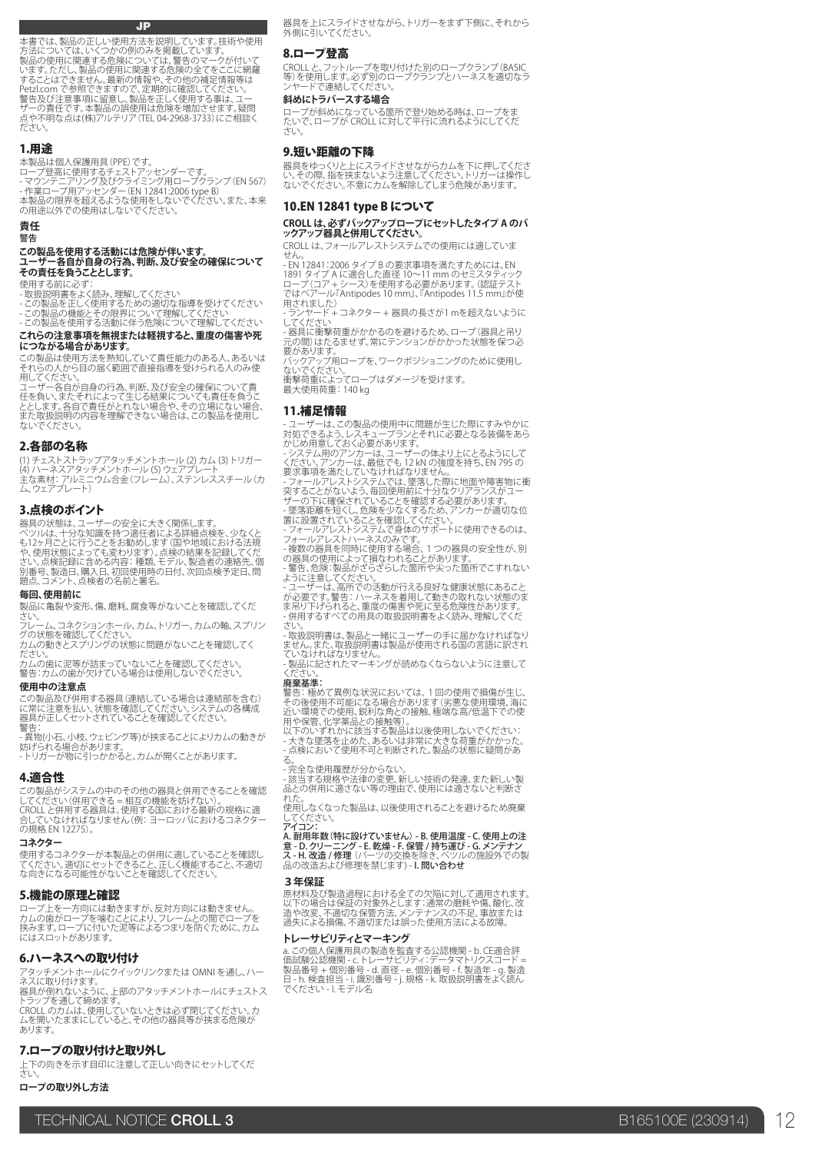### JP

本書では、製品の正しい使用方法を説明しています。技術や使用 方法については、いくつかの例のみを掲載しています。 製品の使用に関連する危険については、警告のマークが付いて<br>います。ただし、製品の使用に関連する危険の金でをここに網羅<br>することはてきません。最新の情報や、その他の補足情報等は<br>Petzl.com で参照できますので、定期的に確認してください。<br>警告及び注意事項に留意し、製品の誤使用は危険を増加させます。疑問 号ニの責任です。本製品の誤使用は危険を増加させます。疑問<br>点や不明な点は(株)アルテリア(TEL 04-2968-3733)にご相談く ださい。

### 1.用途

本製品は個人保護用具 (PPE) です。<br>ロープ登高に使用するチェストアッセンダーです。<br>- マウジテニアリング及びクライミング用ロープクランプ (EN 567)<br>- 作業ロープ用アッセンダー (EN 12841:2006 type B)<br>本製品の限界を超えるようなしでください。<br>の用途以外での使用はしないでください。

**責任**

### 警告

### **この製品を使用する活動には危険が伴います。 ユーザー各自が自身の行為、判断、及び安全の確保について その責任を負うこととします。**

使用する前に必ず:<br>- 取扱説明書をよく読み、理解してください<br>- この製品を正しく使用するための適切な指導を受けてください<br>- この製品を使用する活動に伴う危険について理解してください<br>- この製品を使用する活動に伴う危険について理解してください

### **これらの注意事項を無視または軽視すると、重度の傷害や死 につながる場合があります。**

この製品は使用方法を熟知していて責任能力のある人、あるいは

それらの人から目の届く範囲で直接指導を受けられる人のみ使<br>用してください。<br>ユーザー各自が自身の行為、判断、及び安全の確保について責<br>エを負い、またそれによって生じる結果についても責任を負うと、<br>とします。各自で責任がとれない場合も、この製品を使用し<br>また取扱説明の内容を理解できない場合は、この製品を使用し ないでください。

### 2.各部の名称

(1) チェストストラップアタッチメントホール (2) カム (3) トリガー (4) ハーネスアタッチメントホール (5) ウェアプレート 主な素材: アルミニウム合金(フレーム)、ステンレススチール(カ ム、ウェアプレート)

### 3.点検のポイント

器具の状態は、ユーザーの安全に大きく関係します。 ペツルは、十分な知識を持つ適仕者による詳細点検を、少なくとなったとに行うことをお勧めします(国内状態によっても変わります)。点色の結果を記録してくだ<br>も12ヶ月ごとに行うことをお助めします(国や地域における法規<br>や、使用状態によっても変わります)。点検の結果を記録してくだ<br>ごい。点検者の名前と署名。<br>題点、コメント、点検者の名前と署名。

# **毎回、使用前に**

製品に亀裂や変形、傷、磨耗、腐食等がないことを確認してくだ さい。

フレーム、コネクションホール、カム、トリガー、カムの軸、スプリン グの状態を確認してください。 カムの動きとスプリングの状態に問題がないことを確認してく

ださい。 カムの歯に泥等が詰まっていないことを確認してください。 警告:カムの歯が欠けている場合は使用しないでください。

### **使用中の注意点**

この製品及び併用する器具(連結している場合は連結部を含む) に常に注意を払い、状態を確認してください。システムの各構成 器具が正しくセットされていることを確認してください。 警告:

- 異物(小石、小枝、ウェビング等)が挟まることによりカムの動きが 妨げられる場合があります。 - トリガーが物に引っかかると、カムが開くことがあります。

### 4.適合性

この製品がシステムの中のその他の器具と併用できることを確認 してください(併用できる = 相互の機能を妨げない)。 CROLL と併用する器具は、使用する国における最新の規格に適 合していなければなりません(例: ヨーロッパにおけるコネクター の規格 FN 12275)

### **コネクター**

使用するコネクターが本製品との併用に適していることを確認し てください。適切にセットできること、正しく機能すること、不適切 な向きになる可能性がないことを確認してください。

### 5.機能の原理と確認

ロープ上を一方向には動きますが、反対方向には動きません。 カムの歯がロープを噛むことにより、フレームとの間でロープを 挟みます。ロープに付いた泥等によるつまりを防ぐために、カム にはスロットがあります。

### 6.ハーネスへの取り付け

アタッチメントホールにクイックリンクまたは OMNI を通し、ハー

ネスに取り付けます。<br>器具が倒れないように、上部のアタッチメントホールにチェストス<br>トラップを通して締めます。<br>CROLL のカムは、使用していると、その他の器具等が挟まる危険が<br>ムをります。

### 7.ロープの取り付けと取り外し

上下の向きを示す目印に注意して正しい向きにセットしてくだ さい。

**ロープの取り外し方法**

器具を上にスライドさせながら、トリガーをまず下側に、それから 外側に引いてください。

### 8.ロープ登高

CROLL と、フットループを取り付けた別のロープクランプ(BASIC 等)を使用します。必ず別のロープクランプとハーネスを適切なラ ンヤードで連結してください。

### **斜めにトラバースする場合**

ロープが斜めになっている箇所で登り始める時は、ロープをま たいで、ロープが CROLL に対して平行に流れるようにしてくだ さい。

### 9.短い距離の下降

器具をゆっくりと上にスライドさせながらカムを下に押してくださ い。その際、指を挟まないよう注意してください。トリガーは操作し ないでください。不意にカムを解除してしまう危険があります。

### 10.EN 12841 type B について

### **CROLL は、必ずバックアップロープにセットしたタイプ A のバ ックアップ器具と併用してください。**

CROLL は、フォールアレストシステムでの使用には適していま

せん。 - EN 12841:2006 タイプ B の要求事項を満たすためには、EN 1891 タイプ A に適合した直径 10~11 mm のセミスタティック ロープ(コア + シース)を使用する必要があります。(認証テスト ではベアール『Antipodes 10 mm』、『Antipodes 11.5 mm』が使 用されました)

- <sub>用されました)</sub><br>- 用されました)<br>- ランヤード + コネクター + 器具の長さが1 mを超えないように してください

- 器具に衝撃荷重がかかるのを避けるため、ロープ(器具と吊り 元の間)はたるませず、常にテンションがかかった状態を保つ必

要があります。<br>バックアップ用ロープを、ワークポジショニングのために使用し<br>ないでください。<br>衝撃荷重: 140 kg<br>最大使用荷重: 140 kg

### 11.補足情報

- ユーザーは、この製品の便用中に問題が生じた際にすみやかに<br>対処じあえられたキューデランとそれに必要となる装備をあられているましていることになりません。<br>かじめ用意しておく必要があります。<br>インステム用のアンカーは、ユーザーの体より上にとるようにして<br>インステム用のアンカーは、ユーザーの体よりアランスが、トリアのの<br>要求事項を満たしていなければなりません。<br>モンスプロートのなければなりません。<br>モンスプロアンカーは、この使用があり、他

- 取扱説明書は、製品と一緒にユーザーの手に届かなければなり ません。また、取扱説明書は製品が使用される国の言語に訳され ていなければなりません。 - 製品に記されたマーキングが読めなくならないように注意して

# ください。 廃棄基準:

警告: 極めて異例な状況においては、1回の使用で損傷が生じ、 その後使用不可能になる場合があります(劣悪な使用環境、海に 近い環境での使用、鋭利な角との接触、極端な高/低温下での使 用や保管、化学薬品との接触等)。

以下のいずれかに該当する製品は以後使用しないでください: - 大きな墜落を止めた、あるいは非常に大きな荷重がかかった。 - 点検において使用不可と判断された。製品の状態に疑問があ

る。 - 完全な使用履歴が分からない。 - 該当する規格や法律の変更、新しい技術の発達、また新しい製 品との併用に適さない等の理由で、使用には適さないと判断さ れた。

使用しなくなった製品は、以後使用されることを避けるため廃棄 してください。<br>**アイコン:** 

A. 耐用年数(特に設けていません) - B. 使用温度 - C. 使用上の注<br>意 - D.クリーニング - E. 乾燥 - F. 保管 / 持ち運び - G. メンテナン<br>ス - H. 改造 / 修理 / パーツの交換を除き、ペツルの施設外での製<br>品の改造および修理を禁じます) - I. 問い合わせ

### **3年保証**

原材料及び製造過程における全ての欠陥に対して適用されます。 以下の場合は保証の対象外とします:通常の磨耗や傷、酸化、改 造や改変、不適切な保管方法、メンテナンスの不足、事故または 過し、次叉、下過する休日ガム、シンプンファン、シース、事故。)<br>過失による損傷、不適切または誤った使用方法による故障。

### **トレーサビリティとマーキング**

a. この個人保護用具の製造を監査する公認機関 - b. CE適合評 価試験公認機関 - c. トレーサビリティ: データマトリクスコード =<br>製品番号 + 個別番号 - d. 直径 - e. 個別番号 - f. 製造年 - g. 製造<br>日 - h. 検査担当 - i. 識別番号 - j. 規格 - k. 取扱説明書をよく読ん でください - l. モデル名